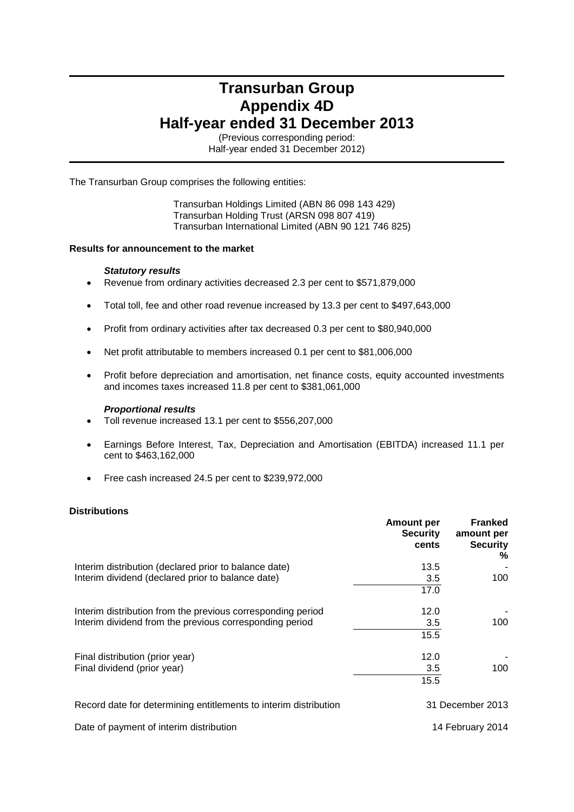## **Transurban Group Appendix 4D Half-year ended 31 December 2013**

(Previous corresponding period: Half-year ended 31 December 2012)

## The Transurban Group comprises the following entities:

Transurban Holdings Limited (ABN 86 098 143 429) Transurban Holding Trust (ARSN 098 807 419) Transurban International Limited (ABN 90 121 746 825)

## **Results for announcement to the market**

## *Statutory results*

- Revenue from ordinary activities decreased 2.3 per cent to \$571,879,000
- Total toll, fee and other road revenue increased by 13.3 per cent to \$497,643,000
- Profit from ordinary activities after tax decreased 0.3 per cent to \$80,940,000
- Net profit attributable to members increased 0.1 per cent to \$81,006,000
- Profit before depreciation and amortisation, net finance costs, equity accounted investments and incomes taxes increased 11.8 per cent to \$381,061,000

## *Proportional results*

- Toll revenue increased 13.1 per cent to \$556,207,000
- Earnings Before Interest, Tax, Depreciation and Amortisation (EBITDA) increased 11.1 per cent to \$463,162,000
- Free cash increased 24.5 per cent to \$239,972,000

## **Distributions**

|                                                                  | Amount per<br><b>Security</b><br>cents | <b>Franked</b><br>amount per<br><b>Security</b><br>% |
|------------------------------------------------------------------|----------------------------------------|------------------------------------------------------|
| Interim distribution (declared prior to balance date)            | 13.5                                   |                                                      |
| Interim dividend (declared prior to balance date)                | 3.5                                    | 100                                                  |
|                                                                  | 17.0                                   |                                                      |
| Interim distribution from the previous corresponding period      | 12.0                                   |                                                      |
| Interim dividend from the previous corresponding period          | 3.5                                    | 100                                                  |
|                                                                  | 15.5                                   |                                                      |
| Final distribution (prior year)                                  | 12.0                                   |                                                      |
| Final dividend (prior year)                                      | 3.5                                    | 100                                                  |
|                                                                  | 15.5                                   |                                                      |
| Record date for determining entitlements to interim distribution |                                        | 31 December 2013                                     |

14 February 2014

Date of payment of interim distribution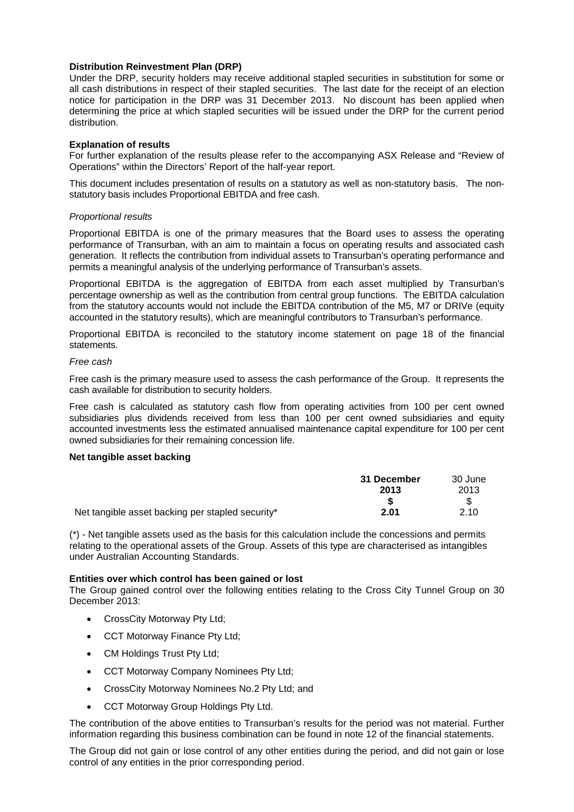## **Distribution Reinvestment Plan (DRP)**

Under the DRP, security holders may receive additional stapled securities in substitution for some or all cash distributions in respect of their stapled securities. The last date for the receipt of an election notice for participation in the DRP was 31 December 2013. No discount has been applied when determining the price at which stapled securities will be issued under the DRP for the current period distribution.

## **Explanation of results**

For further explanation of the results please refer to the accompanying ASX Release and "Review of Operations" within the Directors' Report of the half-year report.

This document includes presentation of results on a statutory as well as non-statutory basis. The nonstatutory basis includes Proportional EBITDA and free cash.

## *Proportional results*

Proportional EBITDA is one of the primary measures that the Board uses to assess the operating performance of Transurban, with an aim to maintain a focus on operating results and associated cash generation. It reflects the contribution from individual assets to Transurban's operating performance and permits a meaningful analysis of the underlying performance of Transurban's assets.

Proportional EBITDA is the aggregation of EBITDA from each asset multiplied by Transurban's percentage ownership as well as the contribution from central group functions. The EBITDA calculation from the statutory accounts would not include the EBITDA contribution of the M5, M7 or DRIVe (equity accounted in the statutory results), which are meaningful contributors to Transurban's performance.

Proportional EBITDA is reconciled to the statutory income statement on page 18 of the financial statements.

## *Free cash*

Free cash is the primary measure used to assess the cash performance of the Group. It represents the cash available for distribution to security holders.

Free cash is calculated as statutory cash flow from operating activities from 100 per cent owned subsidiaries plus dividends received from less than 100 per cent owned subsidiaries and equity accounted investments less the estimated annualised maintenance capital expenditure for 100 per cent owned subsidiaries for their remaining concession life.

## **Net tangible asset backing**

|                                                  | 31 December | 30 June |
|--------------------------------------------------|-------------|---------|
|                                                  | 2013        | 2013    |
|                                                  |             |         |
| Net tangible asset backing per stapled security* | 2.01        | 2.10    |

(\*) - Net tangible assets used as the basis for this calculation include the concessions and permits relating to the operational assets of the Group. Assets of this type are characterised as intangibles under Australian Accounting Standards.

## **Entities over which control has been gained or lost**

The Group gained control over the following entities relating to the Cross City Tunnel Group on 30 December 2013:

- CrossCity Motorway Pty Ltd;
- CCT Motorway Finance Pty Ltd;
- CM Holdings Trust Pty Ltd;
- CCT Motorway Company Nominees Pty Ltd;
- CrossCity Motorway Nominees No.2 Pty Ltd; and
- CCT Motorway Group Holdings Pty Ltd.

The contribution of the above entities to Transurban's results for the period was not material. Further information regarding this business combination can be found in note 12 of the financial statements.

The Group did not gain or lose control of any other entities during the period, and did not gain or lose control of any entities in the prior corresponding period.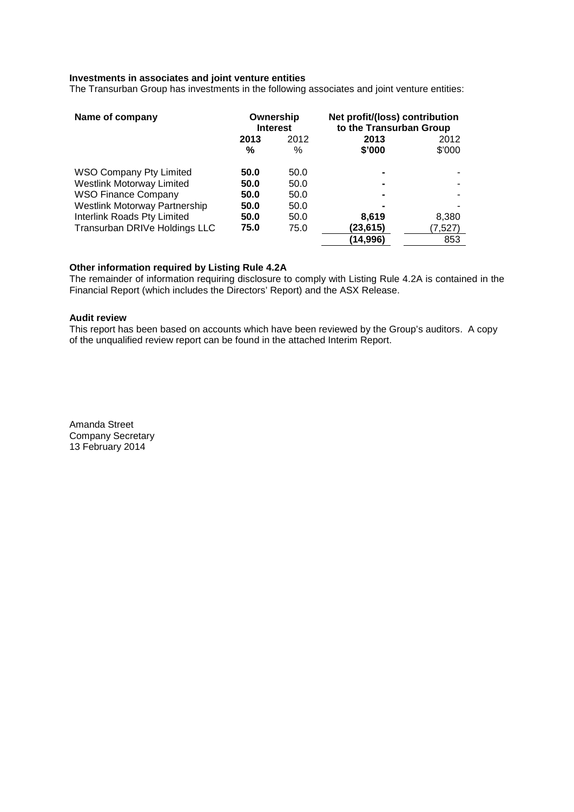## **Investments in associates and joint venture entities**

The Transurban Group has investments in the following associates and joint venture entities:

| Name of company                | Ownership<br><b>Interest</b> |      | Net profit/(loss) contribution<br>to the Transurban Group |         |
|--------------------------------|------------------------------|------|-----------------------------------------------------------|---------|
|                                | 2013                         | 2012 | 2013                                                      | 2012    |
|                                | %                            | $\%$ | \$'000                                                    | \$'000  |
| <b>WSO Company Pty Limited</b> | 50.0                         | 50.0 |                                                           |         |
| Westlink Motorway Limited      | 50.0                         | 50.0 |                                                           |         |
| <b>WSO Finance Company</b>     | 50.0                         | 50.0 |                                                           |         |
| Westlink Motorway Partnership  | 50.0                         | 50.0 |                                                           |         |
| Interlink Roads Pty Limited    | 50.0                         | 50.0 | 8,619                                                     | 8,380   |
| Transurban DRIVe Holdings LLC  | 75.0                         | 75.0 | (23,615)                                                  | (7,527) |
|                                |                              |      | (14,996)                                                  | 853     |

## **Other information required by Listing Rule 4.2A**

The remainder of information requiring disclosure to comply with Listing Rule 4.2A is contained in the Financial Report (which includes the Directors' Report) and the ASX Release.

## **Audit review**

This report has been based on accounts which have been reviewed by the Group's auditors. A copy of the unqualified review report can be found in the attached Interim Report.

Amanda Street Company Secretary 13 February 2014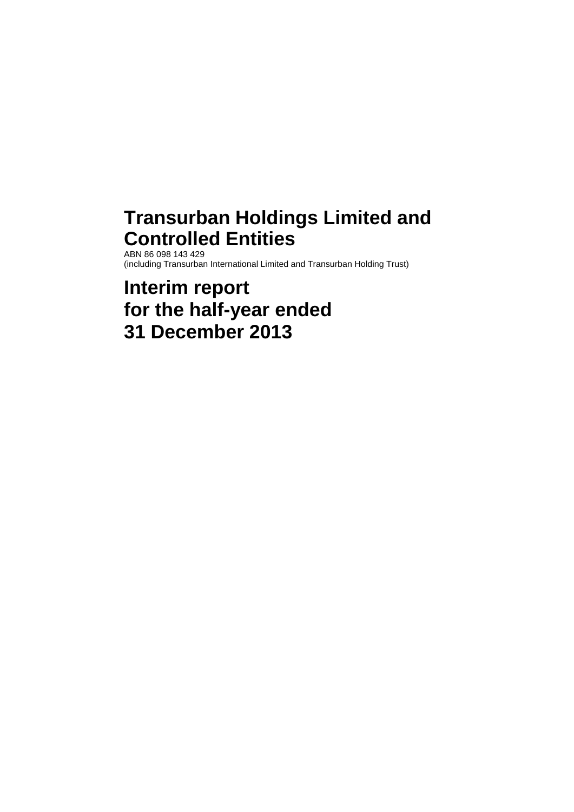## **Transurban Holdings Limited and Controlled Entities** ABN 86 098 143 429

(including Transurban International Limited and Transurban Holding Trust)

# **Interim report for the half-year ended 31 December 2013**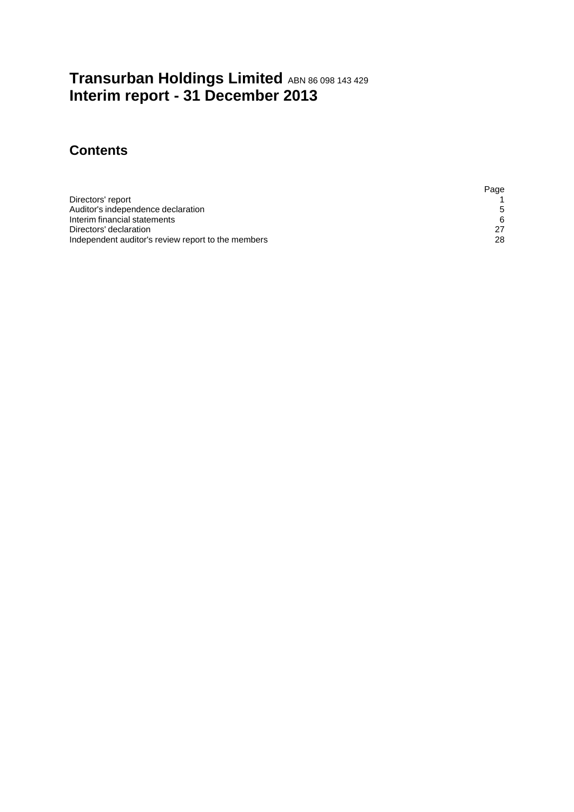## **Transurban Holdings Limited ABN 86 098 143 429 Interim report - 31 December 2013**

## **Contents**

|                                                    | Page        |
|----------------------------------------------------|-------------|
| Directors' report                                  |             |
| Auditor's independence declaration                 | $5^{\circ}$ |
| Interim financial statements                       | 6           |
| Directors' declaration                             |             |
| Independent auditor's review report to the members | 28          |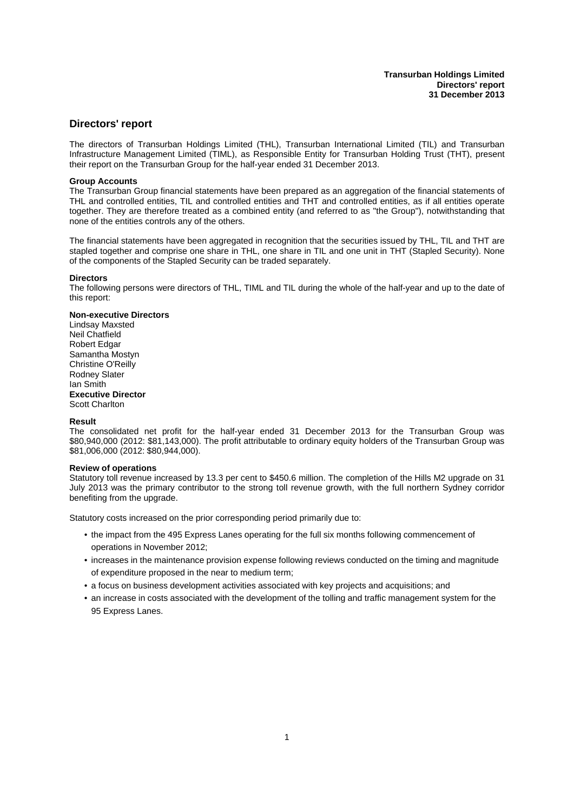### <span id="page-5-0"></span>**Directors' report**

The directors of Transurban Holdings Limited (THL), Transurban International Limited (TIL) and Transurban Infrastructure Management Limited (TIML), as Responsible Entity for Transurban Holding Trust (THT), present their report on the Transurban Group for the half-year ended 31 December 2013.

#### **Group Accounts**

The Transurban Group financial statements have been prepared as an aggregation of the financial statements of THL and controlled entities, TIL and controlled entities and THT and controlled entities, as if all entities operate together. They are therefore treated as a combined entity (and referred to as "the Group"), notwithstanding that none of the entities controls any of the others.

The financial statements have been aggregated in recognition that the securities issued by THL, TIL and THT are stapled together and comprise one share in THL, one share in TIL and one unit in THT (Stapled Security). None of the components of the Stapled Security can be traded separately.

#### **Directors**

The following persons were directors of THL, TIML and TIL during the whole of the half-year and up to the date of this report:

#### **Non-executive Directors**

Lindsay Maxsted Neil Chatfield Robert Edgar Samantha Mostyn Christine O'Reilly Rodney Slater Ian Smith **Executive Director** Scott Charlton

#### **Result**

The consolidated net profit for the half-year ended 31 December 2013 for the Transurban Group was \$80,940,000 (2012: \$81,143,000). The profit attributable to ordinary equity holders of the Transurban Group was \$81,006,000 (2012: \$80,944,000).

#### **Review of operations**

Statutory toll revenue increased by 13.3 per cent to \$450.6 million. The completion of the Hills M2 upgrade on 31 July 2013 was the primary contributor to the strong toll revenue growth, with the full northern Sydney corridor benefiting from the upgrade.

Statutory costs increased on the prior corresponding period primarily due to:

- the impact from the 495 Express Lanes operating for the full six months following commencement of operations in November 2012;
- increases in the maintenance provision expense following reviews conducted on the timing and magnitude of expenditure proposed in the near to medium term;
- a focus on business development activities associated with key projects and acquisitions; and
- an increase in costs associated with the development of the tolling and traffic management system for the 95 Express Lanes.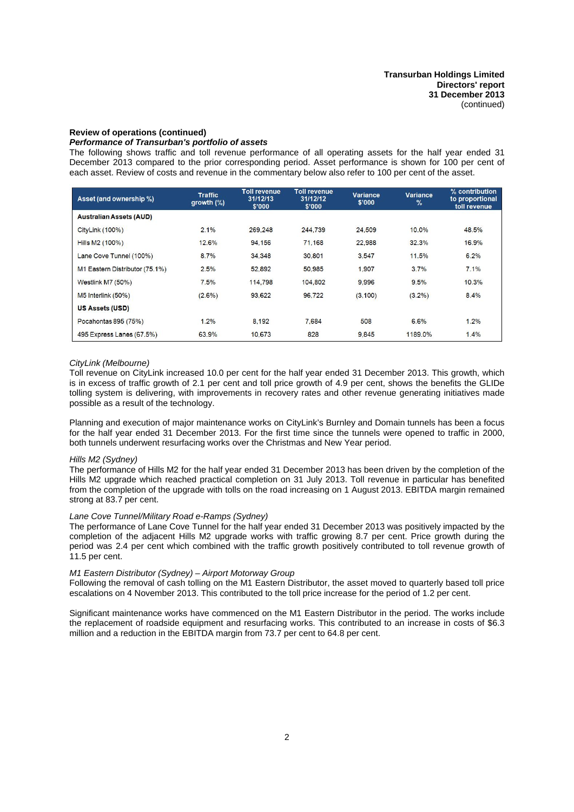#### **Review of operations (continued)**

### *Performance of Transurban's portfolio of assets*

The following shows traffic and toll revenue performance of all operating assets for the half year ended 31 December 2013 compared to the prior corresponding period. Asset performance is shown for 100 per cent of each asset. Review of costs and revenue in the commentary below also refer to 100 per cent of the asset.

| Asset (and ownership %)        | <b>Traffic</b><br>growth $(\%)$ | Toll revenue<br>31/12/13<br>\$'000 | Toll revenue<br>31/12/12<br>\$'000 | <b>Variance</b><br>\$'000 | <b>Variance</b><br>$\frac{1}{2}$ | % contribution<br>to proportional<br>toll revenue |
|--------------------------------|---------------------------------|------------------------------------|------------------------------------|---------------------------|----------------------------------|---------------------------------------------------|
| <b>Australian Assets (AUD)</b> |                                 |                                    |                                    |                           |                                  |                                                   |
| CityLink (100%)                | 2.1%                            | 269.248                            | 244.739                            | 24.509                    | 10.0%                            | 48.5%                                             |
| Hills M2 (100%)                | 12.6%                           | 94.156                             | 71.168                             | 22,988                    | 32.3%                            | 16.9%                                             |
| Lane Cove Tunnel (100%)        | 8.7%                            | 34.348                             | 30.801                             | 3.547                     | 11.5%                            | 6.2%                                              |
| M1 Eastern Distributor (75.1%) | 2.5%                            | 52,892                             | 50.985                             | 1.907                     | 3.7%                             | 7.1%                                              |
| <b>Westlink M7 (50%)</b>       | 7.5%                            | 114,798                            | 104.802                            | 9,996                     | 9.5%                             | 10.3%                                             |
| M5 Interlink (50%)             | $(2.6\%)$                       | 93.622                             | 96.722                             | (3, 100)                  | $(3.2\%)$                        | 8.4%                                              |
| US Assets (USD)                |                                 |                                    |                                    |                           |                                  |                                                   |
| Pocahontas 895 (75%)           | 1.2%                            | 8.192                              | 7.684                              | 508                       | 6.6%                             | 1.2%                                              |
| 495 Express Lanes (67.5%)      | 63.9%                           | 10.673                             | 828                                | 9.845                     | 1189.0%                          | 1.4%                                              |

#### *CityLink (Melbourne)*

Toll revenue on CityLink increased 10.0 per cent for the half year ended 31 December 2013. This growth, which is in excess of traffic growth of 2.1 per cent and toll price growth of 4.9 per cent, shows the benefits the GLIDe tolling system is delivering, with improvements in recovery rates and other revenue generating initiatives made possible as a result of the technology.

Planning and execution of major maintenance works on CityLink's Burnley and Domain tunnels has been a focus for the half year ended 31 December 2013. For the first time since the tunnels were opened to traffic in 2000, both tunnels underwent resurfacing works over the Christmas and New Year period.

#### *Hills M2 (Sydney)*

The performance of Hills M2 for the half year ended 31 December 2013 has been driven by the completion of the Hills M2 upgrade which reached practical completion on 31 July 2013. Toll revenue in particular has benefited from the completion of the upgrade with tolls on the road increasing on 1 August 2013. EBITDA margin remained strong at 83.7 per cent.

#### *Lane Cove Tunnel/Military Road e-Ramps (Sydney)*

The performance of Lane Cove Tunnel for the half year ended 31 December 2013 was positively impacted by the completion of the adjacent Hills M2 upgrade works with traffic growing 8.7 per cent. Price growth during the period was 2.4 per cent which combined with the traffic growth positively contributed to toll revenue growth of 11.5 per cent.

#### *M1 Eastern Distributor (Sydney) – Airport Motorway Group*

Following the removal of cash tolling on the M1 Eastern Distributor, the asset moved to quarterly based toll price escalations on 4 November 2013. This contributed to the toll price increase for the period of 1.2 per cent.

Significant maintenance works have commenced on the M1 Eastern Distributor in the period. The works include the replacement of roadside equipment and resurfacing works. This contributed to an increase in costs of \$6.3 million and a reduction in the EBITDA margin from 73.7 per cent to 64.8 per cent.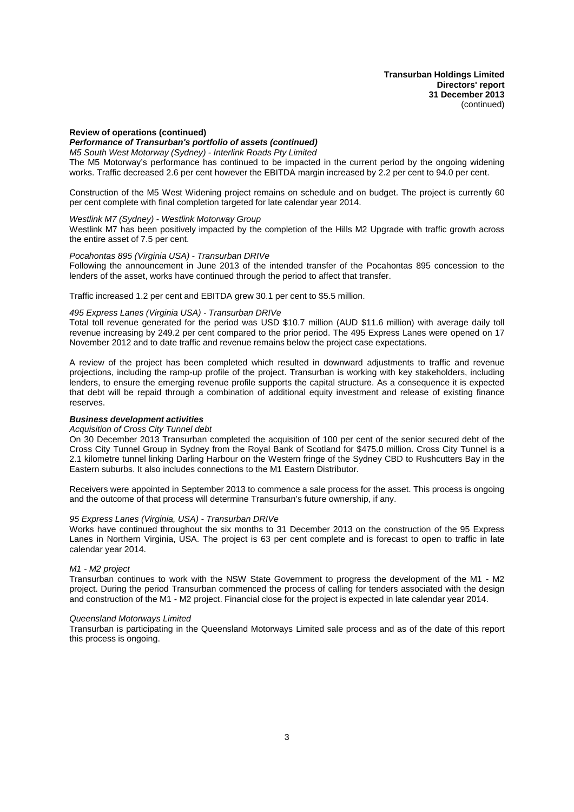#### **Review of operations (continued)**

*Performance of Transurban's portfolio of assets (continued)*

*M5 South West Motorway (Sydney) - Interlink Roads Pty Limited*

The M5 Motorway's performance has continued to be impacted in the current period by the ongoing widening works. Traffic decreased 2.6 per cent however the EBITDA margin increased by 2.2 per cent to 94.0 per cent.

Construction of the M5 West Widening project remains on schedule and on budget. The project is currently 60 per cent complete with final completion targeted for late calendar year 2014.

#### *Westlink M7 (Sydney) - Westlink Motorway Group*

Westlink M7 has been positively impacted by the completion of the Hills M2 Upgrade with traffic growth across the entire asset of 7.5 per cent.

#### *Pocahontas 895 (Virginia USA) - Transurban DRIVe*

Following the announcement in June 2013 of the intended transfer of the Pocahontas 895 concession to the lenders of the asset, works have continued through the period to affect that transfer.

Traffic increased 1.2 per cent and EBITDA grew 30.1 per cent to \$5.5 million.

#### *495 Express Lanes (Virginia USA) - Transurban DRIVe*

Total toll revenue generated for the period was USD \$10.7 million (AUD \$11.6 million) with average daily toll revenue increasing by 249.2 per cent compared to the prior period. The 495 Express Lanes were opened on 17 November 2012 and to date traffic and revenue remains below the project case expectations.

A review of the project has been completed which resulted in downward adjustments to traffic and revenue projections, including the ramp-up profile of the project. Transurban is working with key stakeholders, including lenders, to ensure the emerging revenue profile supports the capital structure. As a consequence it is expected that debt will be repaid through a combination of additional equity investment and release of existing finance reserves.

#### *Business development activities*

#### *Acquisition of Cross City Tunnel debt*

On 30 December 2013 Transurban completed the acquisition of 100 per cent of the senior secured debt of the Cross City Tunnel Group in Sydney from the Royal Bank of Scotland for \$475.0 million. Cross City Tunnel is a 2.1 kilometre tunnel linking Darling Harbour on the Western fringe of the Sydney CBD to Rushcutters Bay in the Eastern suburbs. It also includes connections to the M1 Eastern Distributor.

Receivers were appointed in September 2013 to commence a sale process for the asset. This process is ongoing and the outcome of that process will determine Transurban's future ownership, if any.

#### *95 Express Lanes (Virginia, USA) - Transurban DRIVe*

Works have continued throughout the six months to 31 December 2013 on the construction of the 95 Express Lanes in Northern Virginia, USA. The project is 63 per cent complete and is forecast to open to traffic in late calendar year 2014.

#### *M1 - M2 project*

Transurban continues to work with the NSW State Government to progress the development of the M1 - M2 project. During the period Transurban commenced the process of calling for tenders associated with the design and construction of the M1 - M2 project. Financial close for the project is expected in late calendar year 2014.

#### *Queensland Motorways Limited*

Transurban is participating in the Queensland Motorways Limited sale process and as of the date of this report this process is ongoing.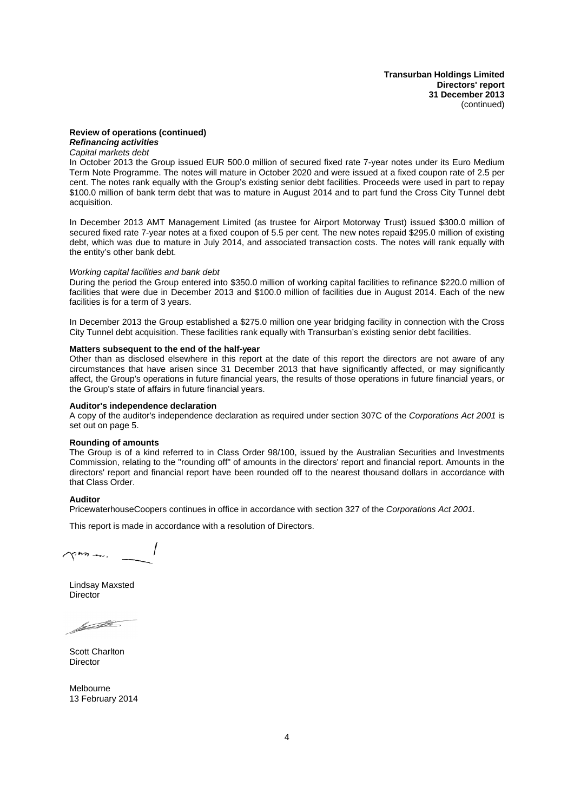**Transurban Holdings Limited Directors' report 31 December 2013** (continued)

### **Review of operations (continued)** *Refinancing activities*

*Capital markets debt*

In October 2013 the Group issued EUR 500.0 million of secured fixed rate 7-year notes under its Euro Medium Term Note Programme. The notes will mature in October 2020 and were issued at a fixed coupon rate of 2.5 per cent. The notes rank equally with the Group's existing senior debt facilities. Proceeds were used in part to repay \$100.0 million of bank term debt that was to mature in August 2014 and to part fund the Cross City Tunnel debt acquisition.

In December 2013 AMT Management Limited (as trustee for Airport Motorway Trust) issued \$300.0 million of secured fixed rate 7-year notes at a fixed coupon of 5.5 per cent. The new notes repaid \$295.0 million of existing debt, which was due to mature in July 2014, and associated transaction costs. The notes will rank equally with the entity's other bank debt.

#### *Working capital facilities and bank debt*

During the period the Group entered into \$350.0 million of working capital facilities to refinance \$220.0 million of facilities that were due in December 2013 and \$100.0 million of facilities due in August 2014. Each of the new facilities is for a term of 3 years.

In December 2013 the Group established a \$275.0 million one year bridging facility in connection with the Cross City Tunnel debt acquisition. These facilities rank equally with Transurban's existing senior debt facilities.

#### **Matters subsequent to the end of the half-year**

Other than as disclosed elsewhere in this report at the date of this report the directors are not aware of any circumstances that have arisen since 31 December 2013 that have significantly affected, or may significantly affect, the Group's operations in future financial years, the results of those operations in future financial years, or the Group's state of affairs in future financial years.

#### **Auditor's independence declaration**

A copy of the auditor's independence declaration as required under section 307C of the *Corporations Act 2001* is set out on page 5.

#### **Rounding of amounts**

The Group is of a kind referred to in Class Order 98/100, issued by the Australian Securities and Investments Commission, relating to the "rounding off" of amounts in the directors' report and financial report. Amounts in the directors' report and financial report have been rounded off to the nearest thousand dollars in accordance with that Class Order.

#### **Auditor**

PricewaterhouseCoopers continues in office in accordance with section 327 of the *Corporations Act 2001*.

This report is made in accordance with a resolution of Directors.

 $\gamma$ *nn*<sub>n</sub>.

Lindsay Maxsted **Director** 

hadhe-

Scott Charlton **Director** 

Melbourne 13 February 2014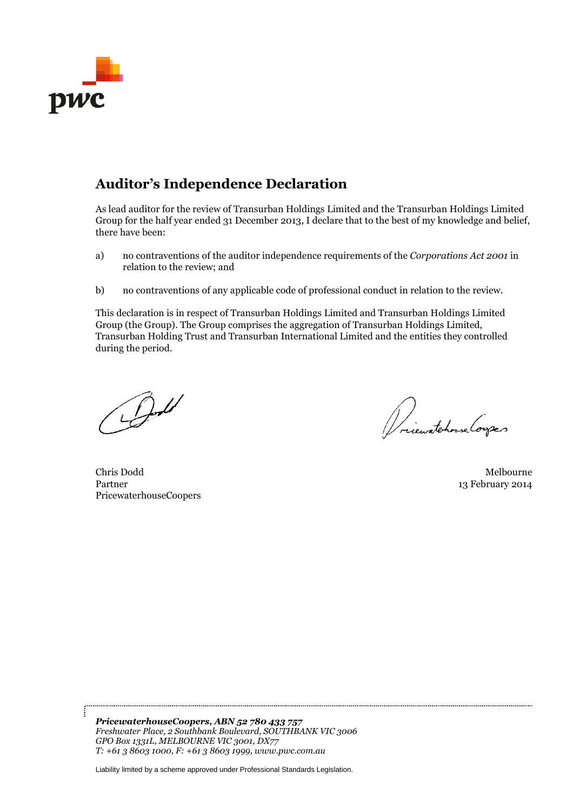

## **Auditor's Independence Declaration**

As lead auditor for the review of Transurban Holdings Limited and the Transurban Holdings Limited Group for the half year ended 31 December 2013, I declare that to the best of my knowledge and belief, there have been:

- a) no contraventions of the auditor independence requirements of the *Corporations Act 2001* in relation to the review; and
- b) no contraventions of any applicable code of professional conduct in relation to the review.

This declaration is in respect of Transurban Holdings Limited and Transurban Holdings Limited Group (the Group). The Group comprises the aggregation of Transurban Holdings Limited, Transurban Holding Trust and Transurban International Limited and the entities they controlled during the period.

 $\mathcal{D}^{\mathcal{U}}$ 

Driewatchowse Corpor

Chris Dodd Melbourne Partner 13 February 2014 PricewaterhouseCoopers

*PricewaterhouseCoopers, ABN 52 780 433 757 Freshwater Place, 2 Southbank Boulevard, SOUTHBANK VIC 3006 GPO Box 1331L, MELBOURNE VIC 3001, DX77 T: +61 3 8603 1000, F: +61 3 8603 1999, www.pwc.com.au*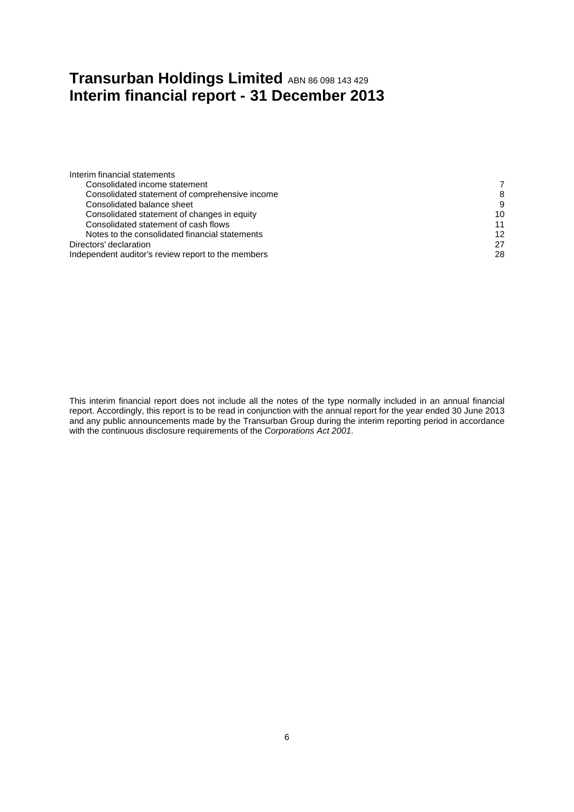## <span id="page-10-0"></span>**Transurban Holdings Limited ABN 86 098 143 429 Interim financial report - 31 December 2013**

| Interim financial statements                       |    |
|----------------------------------------------------|----|
| Consolidated income statement                      |    |
| Consolidated statement of comprehensive income     | 8  |
| Consolidated balance sheet                         | 9  |
| Consolidated statement of changes in equity        | 10 |
| Consolidated statement of cash flows               | 11 |
| Notes to the consolidated financial statements     | 12 |
| Directors' declaration                             | 27 |
| Independent auditor's review report to the members | 28 |
|                                                    |    |

This interim financial report does not include all the notes of the type normally included in an annual financial report. Accordingly, this report is to be read in conjunction with the annual report for the year ended 30 June 2013 and any public announcements made by the Transurban Group during the interim reporting period in accordance with the continuous disclosure requirements of the *Corporations Act 2001*.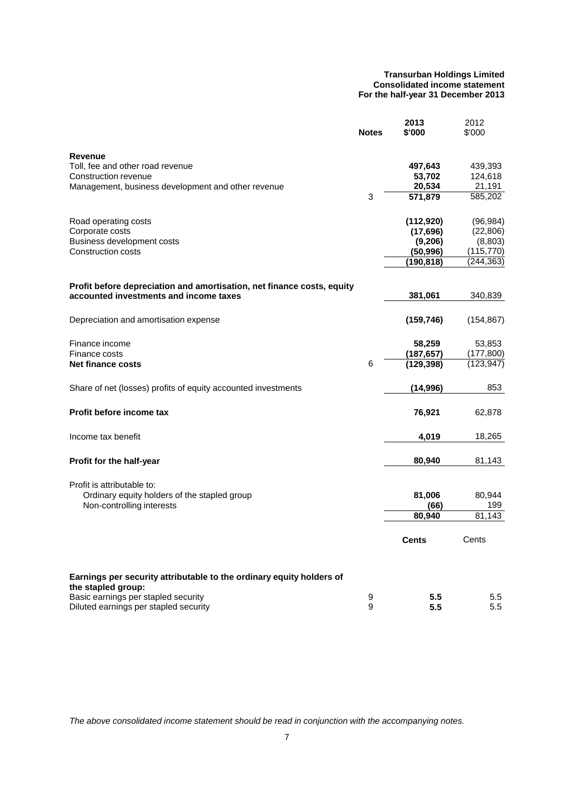#### **Transurban Holdings Limited Consolidated income statement For the half-year 31 December 2013**

<span id="page-11-0"></span>

|                                                                        | <b>Notes</b> | 2013<br>\$'000 | 2012<br>\$'000 |
|------------------------------------------------------------------------|--------------|----------------|----------------|
|                                                                        |              |                |                |
| Revenue                                                                |              |                |                |
| Toll, fee and other road revenue                                       |              | 497,643        | 439,393        |
| Construction revenue                                                   |              | 53,702         | 124,618        |
| Management, business development and other revenue                     |              | 20,534         | 21,191         |
|                                                                        | 3            | 571,879        | 585,202        |
| Road operating costs                                                   |              | (112,920)      | (96, 984)      |
| Corporate costs                                                        |              | (17, 696)      | (22, 806)      |
| Business development costs                                             |              | (9,206)        | (8,803)        |
| Construction costs                                                     |              | (50, 996)      | (115,770)      |
|                                                                        |              | (190,818)      | (244, 363)     |
| Profit before depreciation and amortisation, net finance costs, equity |              |                |                |
| accounted investments and income taxes                                 |              | 381,061        | 340,839        |
|                                                                        |              |                |                |
| Depreciation and amortisation expense                                  |              | (159, 746)     | (154, 867)     |
| Finance income                                                         |              | 58,259         | 53,853         |
| Finance costs                                                          |              | (187, 657)     | (177, 800)     |
| <b>Net finance costs</b>                                               | 6            | (129, 398)     | (123, 947)     |
| Share of net (losses) profits of equity accounted investments          |              | (14,996)       | 853            |
| Profit before income tax                                               |              | 76,921         | 62,878         |
| Income tax benefit                                                     |              | 4,019          | 18,265         |
|                                                                        |              |                |                |
| Profit for the half-year                                               |              | 80,940         | 81,143         |
| Profit is attributable to:                                             |              |                |                |
| Ordinary equity holders of the stapled group                           |              | 81,006         | 80,944         |
| Non-controlling interests                                              |              | (66)           | 199            |
|                                                                        |              | 80,940         | 81,143         |
|                                                                        |              | <b>Cents</b>   | Cents          |
| Earnings per security attributable to the ordinary equity holders of   |              |                |                |
| the stapled group:<br>Basic earnings per stapled security              |              | 5.5            |                |
| Diluted earnings per stapled security                                  | 9<br>9       | 5.5            | 5.5<br>5.5     |

*The above consolidated income statement should be read in conjunction with the accompanying notes.*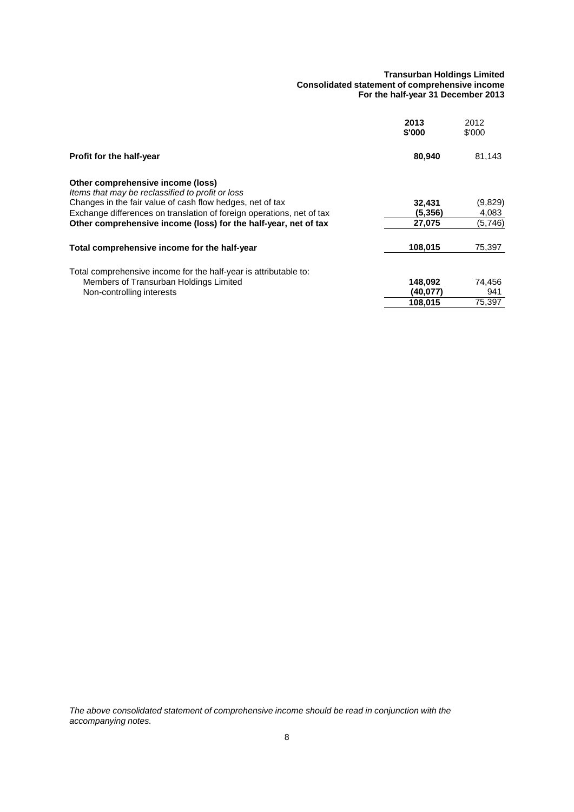#### **Transurban Holdings Limited Consolidated statement of comprehensive income For the half-year 31 December 2013**

<span id="page-12-0"></span>

|                                                                                       | 2013<br>\$'000 | 2012<br>\$'000 |
|---------------------------------------------------------------------------------------|----------------|----------------|
| Profit for the half-year                                                              | 80,940         | 81,143         |
| Other comprehensive income (loss)<br>Items that may be reclassified to profit or loss |                |                |
| Changes in the fair value of cash flow hedges, net of tax                             | 32,431         | (9,829)        |
| Exchange differences on translation of foreign operations, net of tax                 | (5.356)        | 4,083          |
| Other comprehensive income (loss) for the half-year, net of tax                       | 27,075         | (5,746)        |
| Total comprehensive income for the half-year                                          | 108,015        | 75,397         |
| Total comprehensive income for the half-year is attributable to:                      |                |                |
| Members of Transurban Holdings Limited                                                | 148,092        | 74,456         |
| Non-controlling interests                                                             | (40,077)       | 941            |
|                                                                                       | 108,015        | 75,397         |

*The above consolidated statement of comprehensive income should be read in conjunction with the accompanying notes.*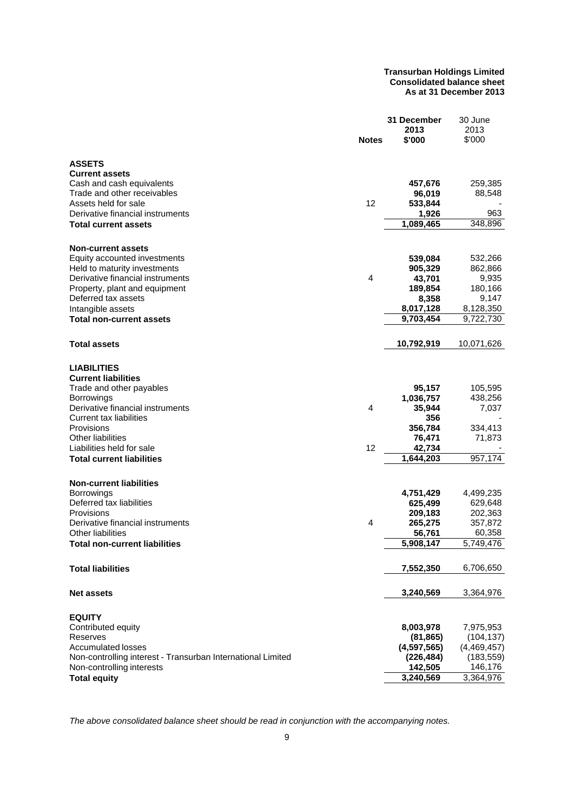#### **Transurban Holdings Limited Consolidated balance sheet As at 31 December 2013**

<span id="page-13-0"></span>

|                                                             | <b>Notes</b> | 31 December<br>2013<br>\$'000 | 30 June<br>2013<br>\$'000 |
|-------------------------------------------------------------|--------------|-------------------------------|---------------------------|
| <b>ASSETS</b>                                               |              |                               |                           |
| <b>Current assets</b>                                       |              |                               |                           |
| Cash and cash equivalents                                   |              | 457,676                       | 259,385                   |
| Trade and other receivables<br>Assets held for sale         | 12           | 96,019                        | 88,548                    |
| Derivative financial instruments                            |              | 533,844<br>1,926              | 963                       |
| <b>Total current assets</b>                                 |              | 1,089,465                     | 348,896                   |
|                                                             |              |                               |                           |
| <b>Non-current assets</b>                                   |              |                               |                           |
| Equity accounted investments                                |              | 539,084                       | 532,266                   |
| Held to maturity investments                                |              | 905,329                       | 862,866                   |
| Derivative financial instruments                            | 4            | 43,701                        | 9,935                     |
| Property, plant and equipment                               |              | 189,854                       | 180,166                   |
| Deferred tax assets                                         |              | 8,358                         | 9,147                     |
| Intangible assets<br><b>Total non-current assets</b>        |              | 8,017,128<br>9,703,454        | 8,128,350<br>9,722,730    |
|                                                             |              |                               |                           |
| <b>Total assets</b>                                         |              | 10,792,919                    | 10,071,626                |
|                                                             |              |                               |                           |
| <b>LIABILITIES</b>                                          |              |                               |                           |
| <b>Current liabilities</b>                                  |              |                               |                           |
| Trade and other payables                                    |              | 95,157                        | 105,595<br>438,256        |
| <b>Borrowings</b><br>Derivative financial instruments       | 4            | 1,036,757<br>35,944           | 7,037                     |
| Current tax liabilities                                     |              | 356                           |                           |
| Provisions                                                  |              | 356,784                       | 334,413                   |
| Other liabilities                                           |              | 76,471                        | 71,873                    |
| Liabilities held for sale                                   | 12           | 42,734                        |                           |
| <b>Total current liabilities</b>                            |              | 1,644,203                     | 957,174                   |
| <b>Non-current liabilities</b>                              |              |                               |                           |
| Borrowings                                                  |              | 4,751,429                     | 4,499,235                 |
| Deferred tax liabilities                                    |              | 625,499                       | 629,648                   |
| Provisions                                                  |              | 209,183                       | 202,363                   |
| Derivative financial instruments                            | 4            | 265,275                       | 357,872                   |
| <b>Other liabilities</b>                                    |              | 56,761                        | 60,358                    |
| Total non-current liabilities                               |              | 5,908,147                     | 5,749,476                 |
| <b>Total liabilities</b>                                    |              |                               |                           |
|                                                             |              | 7,552,350                     | 6,706,650                 |
| <b>Net assets</b>                                           |              | 3,240,569                     | 3,364,976                 |
| <b>EQUITY</b>                                               |              |                               |                           |
| Contributed equity                                          |              | 8,003,978                     | 7,975,953                 |
| Reserves                                                    |              | (81, 865)                     | (104, 137)                |
| <b>Accumulated losses</b>                                   |              | (4,597,565)                   | (4,469,457)               |
| Non-controlling interest - Transurban International Limited |              | (226, 484)                    | (183, 559)                |
| Non-controlling interests                                   |              | 142,505                       | 146,176                   |
| <b>Total equity</b>                                         |              | 3,240,569                     | 3,364,976                 |

*The above consolidated balance sheet should be read in conjunction with the accompanying notes.*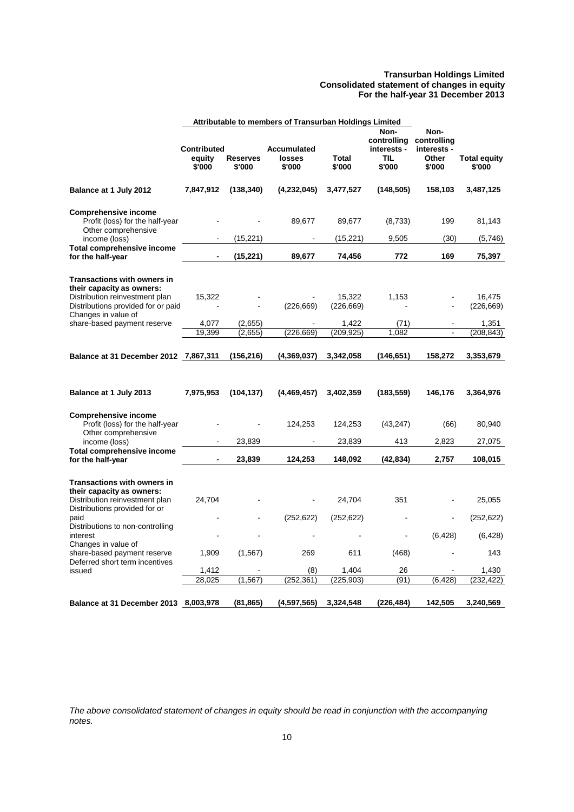#### **Transurban Holdings Limited Consolidated statement of changes in equity For the half-year 31 December 2013**

<span id="page-14-0"></span>

|                                                                                                                                                                                                                                                                                              |                                        |                           | Attributable to members of Transurban Holdings Limited |                                                    |                                                            |                                                       |                                                                |
|----------------------------------------------------------------------------------------------------------------------------------------------------------------------------------------------------------------------------------------------------------------------------------------------|----------------------------------------|---------------------------|--------------------------------------------------------|----------------------------------------------------|------------------------------------------------------------|-------------------------------------------------------|----------------------------------------------------------------|
|                                                                                                                                                                                                                                                                                              | <b>Contributed</b><br>equity<br>\$'000 | <b>Reserves</b><br>\$'000 | <b>Accumulated</b><br>losses<br>\$'000                 | Total<br>\$'000                                    | Non-<br>controlling<br>interests -<br><b>TIL</b><br>\$'000 | Non-<br>controlling<br>interests -<br>Other<br>\$'000 | <b>Total equity</b><br>\$'000                                  |
| Balance at 1 July 2012                                                                                                                                                                                                                                                                       | 7,847,912                              | (138, 340)                | (4,232,045)                                            | 3,477,527                                          | (148, 505)                                                 | 158,103                                               | 3,487,125                                                      |
| <b>Comprehensive income</b><br>Profit (loss) for the half-year<br>Other comprehensive                                                                                                                                                                                                        |                                        |                           | 89,677                                                 | 89,677                                             | (8,733)                                                    | 199                                                   | 81,143                                                         |
| income (loss)                                                                                                                                                                                                                                                                                |                                        | (15, 221)                 |                                                        | (15, 221)                                          | 9,505                                                      | (30)                                                  | (5,746)                                                        |
| <b>Total comprehensive income</b><br>for the half-year                                                                                                                                                                                                                                       |                                        | (15, 221)                 | 89,677                                                 | 74,456                                             | 772                                                        | 169                                                   | 75,397                                                         |
| <b>Transactions with owners in</b><br>their capacity as owners:<br>Distribution reinvestment plan<br>Distributions provided for or paid                                                                                                                                                      | 15,322                                 |                           | (226, 669)                                             | 15,322<br>(226, 669)                               | 1,153                                                      |                                                       | 16,475<br>(226, 669)                                           |
| Changes in value of<br>share-based payment reserve                                                                                                                                                                                                                                           | 4,077                                  | (2,655)                   |                                                        | 1,422                                              | (71)                                                       |                                                       | 1,351                                                          |
|                                                                                                                                                                                                                                                                                              | 19,399                                 | (2,655)                   | (226, 669)                                             | (209, 925)                                         | 1,082                                                      |                                                       | (208, 843)                                                     |
| Balance at 31 December 2012 7,867,311                                                                                                                                                                                                                                                        |                                        | (156, 216)                | (4,369,037)                                            | 3,342,058                                          | (146, 651)                                                 | 158,272                                               | 3,353,679                                                      |
| Balance at 1 July 2013                                                                                                                                                                                                                                                                       | 7,975,953                              | (104, 137)                | (4,469,457)                                            | 3,402,359                                          | (183, 559)                                                 | 146,176                                               | 3,364,976                                                      |
| <b>Comprehensive income</b><br>Profit (loss) for the half-year<br>Other comprehensive<br>income (loss)                                                                                                                                                                                       |                                        | 23,839                    | 124,253                                                | 124,253<br>23,839                                  | (43, 247)<br>413                                           | (66)<br>2,823                                         | 80,940<br>27,075                                               |
| <b>Total comprehensive income</b><br>for the half-year                                                                                                                                                                                                                                       |                                        | 23,839                    | 124,253                                                | 148,092                                            | (42, 834)                                                  | 2,757                                                 | 108,015                                                        |
| <b>Transactions with owners in</b><br>their capacity as owners:<br>Distribution reinvestment plan<br>Distributions provided for or<br>paid<br>Distributions to non-controlling<br>interest<br>Changes in value of<br>share-based payment reserve<br>Deferred short term incentives<br>issued | 24,704<br>1,909<br>1,412<br>28,025     | (1, 567)<br>(1, 567)      | (252, 622)<br>269<br>(8)<br>(252, 361)                 | 24,704<br>(252, 622)<br>611<br>1,404<br>(225, 903) | 351<br>(468)<br>26<br>(91)                                 | (6, 428)<br>(6, 428)                                  | 25,055<br>(252, 622)<br>(6, 428)<br>143<br>1,430<br>(232, 422) |
| Balance at 31 December 2013                                                                                                                                                                                                                                                                  | 8,003,978                              | (81, 865)                 | (4,597,565)                                            | 3,324,548                                          | (226, 484)                                                 | 142,505                                               | 3,240,569                                                      |

*The above consolidated statement of changes in equity should be read in conjunction with the accompanying notes.*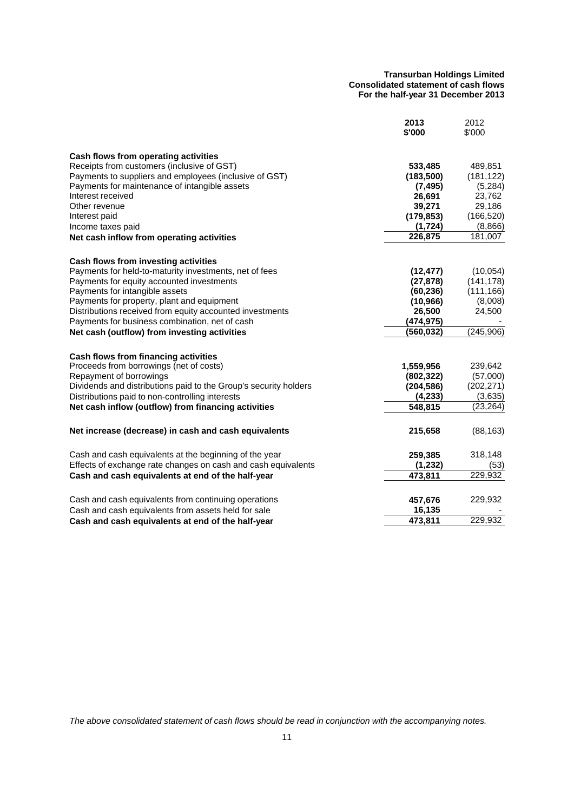#### **Transurban Holdings Limited Consolidated statement of cash flows For the half-year 31 December 2013**

<span id="page-15-0"></span>

|                                                                  | 2013<br>\$'000 | 2012<br>\$'000 |
|------------------------------------------------------------------|----------------|----------------|
| Cash flows from operating activities                             |                |                |
| Receipts from customers (inclusive of GST)                       | 533,485        | 489,851        |
| Payments to suppliers and employees (inclusive of GST)           | (183, 500)     | (181, 122)     |
| Payments for maintenance of intangible assets                    | (7, 495)       | (5,284)        |
| Interest received                                                | 26,691         | 23,762         |
| Other revenue                                                    | 39,271         | 29,186         |
| Interest paid                                                    | (179, 853)     | (166, 520)     |
| Income taxes paid                                                | (1, 724)       | (8,866)        |
| Net cash inflow from operating activities                        | 226,875        | 181,007        |
| Cash flows from investing activities                             |                |                |
| Payments for held-to-maturity investments, net of fees           | (12, 477)      | (10,054)       |
| Payments for equity accounted investments                        | (27, 878)      | (141, 178)     |
| Payments for intangible assets                                   | (60, 236)      | (111, 166)     |
| Payments for property, plant and equipment                       | (10, 966)      | (8,008)        |
| Distributions received from equity accounted investments         | 26,500         | 24,500         |
| Payments for business combination, net of cash                   | (474, 975)     |                |
| Net cash (outflow) from investing activities                     | (560, 032)     | (245,906)      |
| Cash flows from financing activities                             |                |                |
| Proceeds from borrowings (net of costs)                          | 1,559,956      | 239,642        |
| Repayment of borrowings                                          | (802, 322)     | (57,000)       |
| Dividends and distributions paid to the Group's security holders | (204, 586)     | (202, 271)     |
| Distributions paid to non-controlling interests                  | (4, 233)       | (3,635)        |
| Net cash inflow (outflow) from financing activities              | 548,815        | (23, 264)      |
| Net increase (decrease) in cash and cash equivalents             | 215,658        | (88, 163)      |
| Cash and cash equivalents at the beginning of the year           | 259,385        | 318,148        |
| Effects of exchange rate changes on cash and cash equivalents    | (1, 232)       | (53)           |
| Cash and cash equivalents at end of the half-year                | 473,811        | 229,932        |
| Cash and cash equivalents from continuing operations             | 457,676        | 229,932        |
| Cash and cash equivalents from assets held for sale              | 16,135         |                |
| Cash and cash equivalents at end of the half-year                | 473,811        | 229.932        |

*The above consolidated statement of cash flows should be read in conjunction with the accompanying notes.*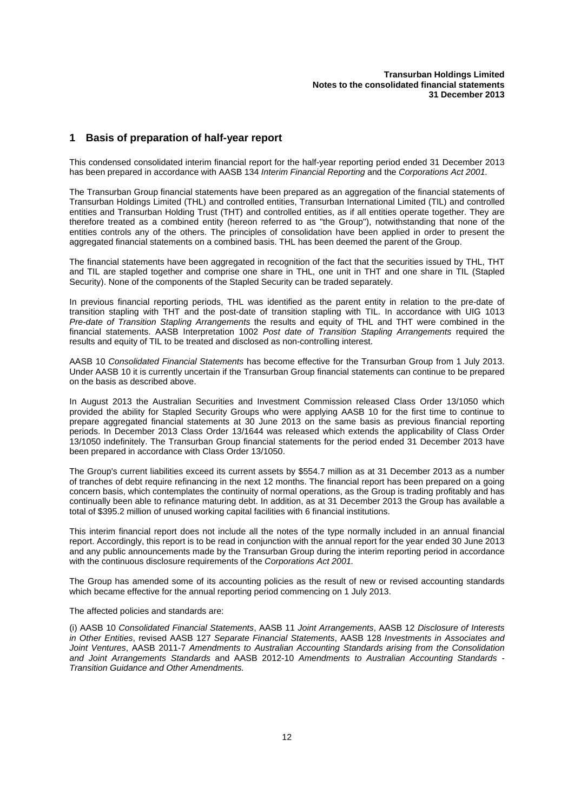## <span id="page-16-0"></span>**1 Basis of preparation of half-year report**

This condensed consolidated interim financial report for the half-year reporting period ended 31 December 2013 has been prepared in accordance with AASB 134 *Interim Financial Reporting* and the *Corporations Act 2001.*

The Transurban Group financial statements have been prepared as an aggregation of the financial statements of Transurban Holdings Limited (THL) and controlled entities, Transurban International Limited (TIL) and controlled entities and Transurban Holding Trust (THT) and controlled entities, as if all entities operate together. They are therefore treated as a combined entity (hereon referred to as "the Group"), notwithstanding that none of the entities controls any of the others. The principles of consolidation have been applied in order to present the aggregated financial statements on a combined basis. THL has been deemed the parent of the Group.

The financial statements have been aggregated in recognition of the fact that the securities issued by THL, THT and TIL are stapled together and comprise one share in THL, one unit in THT and one share in TIL (Stapled Security). None of the components of the Stapled Security can be traded separately.

In previous financial reporting periods, THL was identified as the parent entity in relation to the pre-date of transition stapling with THT and the post-date of transition stapling with TIL. In accordance with UIG 1013 *Pre-date of Transition Stapling Arrangements* the results and equity of THL and THT were combined in the financial statements. AASB Interpretation 1002 *Post date of Transition Stapling Arrangements* required the results and equity of TIL to be treated and disclosed as non-controlling interest.

AASB 10 *Consolidated Financial Statements* has become effective for the Transurban Group from 1 July 2013. Under AASB 10 it is currently uncertain if the Transurban Group financial statements can continue to be prepared on the basis as described above.

In August 2013 the Australian Securities and Investment Commission released Class Order 13/1050 which provided the ability for Stapled Security Groups who were applying AASB 10 for the first time to continue to prepare aggregated financial statements at 30 June 2013 on the same basis as previous financial reporting periods. In December 2013 Class Order 13/1644 was released which extends the applicability of Class Order 13/1050 indefinitely. The Transurban Group financial statements for the period ended 31 December 2013 have been prepared in accordance with Class Order 13/1050.

The Group's current liabilities exceed its current assets by \$554.7 million as at 31 December 2013 as a number of tranches of debt require refinancing in the next 12 months. The financial report has been prepared on a going concern basis, which contemplates the continuity of normal operations, as the Group is trading profitably and has continually been able to refinance maturing debt. In addition, as at 31 December 2013 the Group has available a total of \$395.2 million of unused working capital facilities with 6 financial institutions.

This interim financial report does not include all the notes of the type normally included in an annual financial report. Accordingly, this report is to be read in conjunction with the annual report for the year ended 30 June 2013 and any public announcements made by the Transurban Group during the interim reporting period in accordance with the continuous disclosure requirements of the *Corporations Act 2001.*

The Group has amended some of its accounting policies as the result of new or revised accounting standards which became effective for the annual reporting period commencing on 1 July 2013.

The affected policies and standards are:

(i) AASB 10 *Consolidated Financial Statements*, AASB 11 *Joint Arrangements*, AASB 12 *Disclosure of Interests in Other Entities*, revised AASB 127 *Separate Financial Statements*, AASB 128 *Investments in Associates and Joint Ventures*, AASB 2011-7 *Amendments to Australian Accounting Standards arising from the Consolidation and Joint Arrangements Standards* and AASB 2012-10 *Amendments to Australian Accounting Standards - Transition Guidance and Other Amendments.*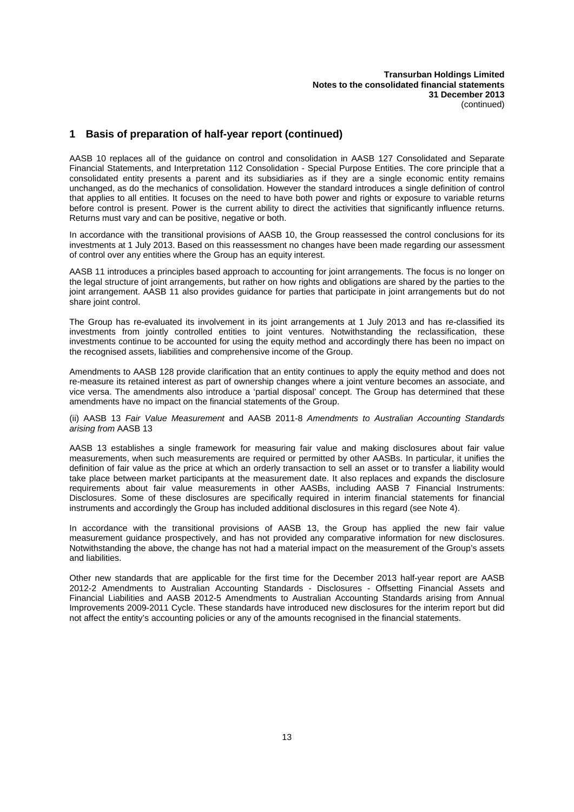## **1 Basis of preparation of half-year report (continued)**

AASB 10 replaces all of the guidance on control and consolidation in AASB 127 Consolidated and Separate Financial Statements, and Interpretation 112 Consolidation - Special Purpose Entities. The core principle that a consolidated entity presents a parent and its subsidiaries as if they are a single economic entity remains unchanged, as do the mechanics of consolidation. However the standard introduces a single definition of control that applies to all entities. It focuses on the need to have both power and rights or exposure to variable returns before control is present. Power is the current ability to direct the activities that significantly influence returns. Returns must vary and can be positive, negative or both.

In accordance with the transitional provisions of AASB 10, the Group reassessed the control conclusions for its investments at 1 July 2013. Based on this reassessment no changes have been made regarding our assessment of control over any entities where the Group has an equity interest.

AASB 11 introduces a principles based approach to accounting for joint arrangements. The focus is no longer on the legal structure of joint arrangements, but rather on how rights and obligations are shared by the parties to the joint arrangement. AASB 11 also provides guidance for parties that participate in joint arrangements but do not share joint control.

The Group has re-evaluated its involvement in its joint arrangements at 1 July 2013 and has re-classified its investments from jointly controlled entities to joint ventures. Notwithstanding the reclassification, these investments continue to be accounted for using the equity method and accordingly there has been no impact on the recognised assets, liabilities and comprehensive income of the Group.

Amendments to AASB 128 provide clarification that an entity continues to apply the equity method and does not re-measure its retained interest as part of ownership changes where a joint venture becomes an associate, and vice versa. The amendments also introduce a 'partial disposal' concept. The Group has determined that these amendments have no impact on the financial statements of the Group.

(ii) AASB 13 *Fair Value Measurement* and AASB 2011-8 *Amendments to Australian Accounting Standards arising from* AASB 13

AASB 13 establishes a single framework for measuring fair value and making disclosures about fair value measurements, when such measurements are required or permitted by other AASBs. In particular, it unifies the definition of fair value as the price at which an orderly transaction to sell an asset or to transfer a liability would take place between market participants at the measurement date. It also replaces and expands the disclosure requirements about fair value measurements in other AASBs, including AASB 7 Financial Instruments: Disclosures. Some of these disclosures are specifically required in interim financial statements for financial instruments and accordingly the Group has included additional disclosures in this regard (see Note 4).

In accordance with the transitional provisions of AASB 13, the Group has applied the new fair value measurement guidance prospectively, and has not provided any comparative information for new disclosures. Notwithstanding the above, the change has not had a material impact on the measurement of the Group's assets and liabilities.

Other new standards that are applicable for the first time for the December 2013 half-year report are AASB 2012-2 Amendments to Australian Accounting Standards - Disclosures - Offsetting Financial Assets and Financial Liabilities and AASB 2012-5 Amendments to Australian Accounting Standards arising from Annual Improvements 2009-2011 Cycle. These standards have introduced new disclosures for the interim report but did not affect the entity's accounting policies or any of the amounts recognised in the financial statements.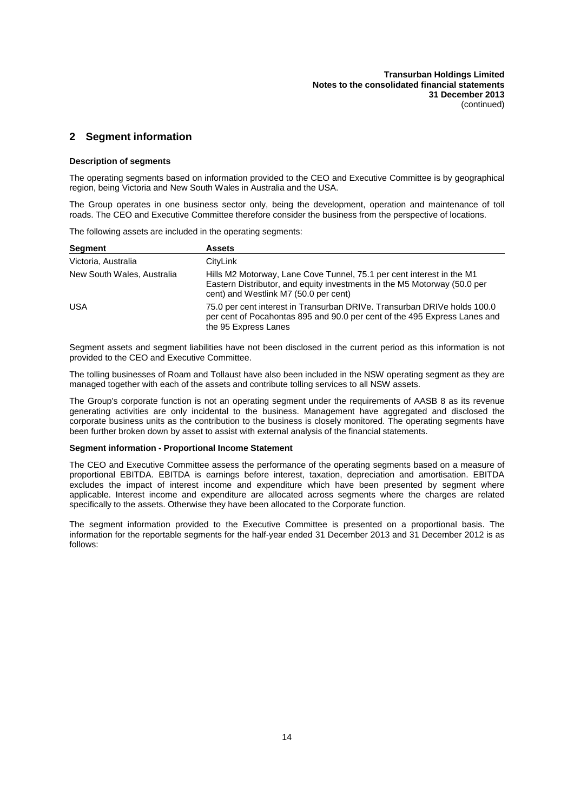## **2 Segment information**

#### **Description of segments**

The operating segments based on information provided to the CEO and Executive Committee is by geographical region, being Victoria and New South Wales in Australia and the USA.

The Group operates in one business sector only, being the development, operation and maintenance of toll roads. The CEO and Executive Committee therefore consider the business from the perspective of locations.

The following assets are included in the operating segments:

| <b>Segment</b>             | <b>Assets</b>                                                                                                                                                                              |
|----------------------------|--------------------------------------------------------------------------------------------------------------------------------------------------------------------------------------------|
| Victoria, Australia        | CityLink                                                                                                                                                                                   |
| New South Wales, Australia | Hills M2 Motorway, Lane Cove Tunnel, 75.1 per cent interest in the M1<br>Eastern Distributor, and equity investments in the M5 Motorway (50.0 per<br>cent) and Westlink M7 (50.0 per cent) |
| <b>USA</b>                 | 75.0 per cent interest in Transurban DRIVe. Transurban DRIVe holds 100.0<br>per cent of Pocahontas 895 and 90.0 per cent of the 495 Express Lanes and<br>the 95 Express Lanes              |

Segment assets and segment liabilities have not been disclosed in the current period as this information is not provided to the CEO and Executive Committee.

The tolling businesses of Roam and Tollaust have also been included in the NSW operating segment as they are managed together with each of the assets and contribute tolling services to all NSW assets.

The Group's corporate function is not an operating segment under the requirements of AASB 8 as its revenue generating activities are only incidental to the business. Management have aggregated and disclosed the corporate business units as the contribution to the business is closely monitored. The operating segments have been further broken down by asset to assist with external analysis of the financial statements.

#### **Segment information - Proportional Income Statement**

The CEO and Executive Committee assess the performance of the operating segments based on a measure of proportional EBITDA. EBITDA is earnings before interest, taxation, depreciation and amortisation. EBITDA excludes the impact of interest income and expenditure which have been presented by segment where applicable. Interest income and expenditure are allocated across segments where the charges are related specifically to the assets. Otherwise they have been allocated to the Corporate function.

The segment information provided to the Executive Committee is presented on a proportional basis. The information for the reportable segments for the half-year ended 31 December 2013 and 31 December 2012 is as follows: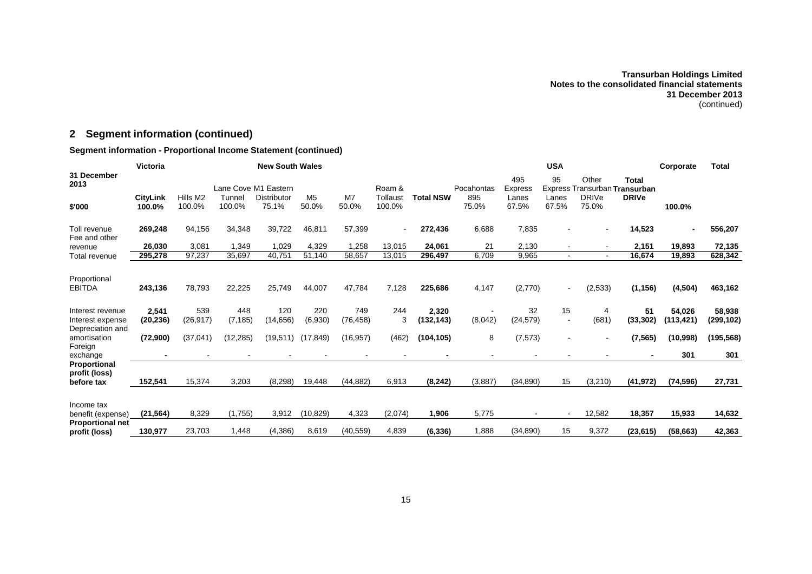## **2 Segment information (continued)**

## **Segment information - Proportional Income Statement (continued)**

|                                                                             | Victoria                  | <b>New South Wales</b> |                  |                             |                         |                    | <b>USA</b>         |                   |                |                       |                                |                                        | Corporate           | <b>Total</b>        |                   |
|-----------------------------------------------------------------------------|---------------------------|------------------------|------------------|-----------------------------|-------------------------|--------------------|--------------------|-------------------|----------------|-----------------------|--------------------------------|----------------------------------------|---------------------|---------------------|-------------------|
| 31 December<br>2013                                                         |                           |                        |                  | Lane Cove M1 Eastern        |                         |                    | Roam &             |                   | Pocahontas     | 495<br><b>Express</b> | 95                             | Other<br>Express Transurban Transurban | <b>Total</b>        |                     |                   |
| \$'000                                                                      | <b>CityLink</b><br>100.0% | Hills M2<br>100.0%     | Tunnel<br>100.0% | <b>Distributor</b><br>75.1% | M <sub>5</sub><br>50.0% | M7<br>50.0%        | Tollaust<br>100.0% | <b>Total NSW</b>  | 895<br>75.0%   | Lanes<br>67.5%        | Lanes<br>67.5%                 | <b>DRIVe</b><br>75.0%                  | <b>DRIVe</b>        | 100.0%              |                   |
| Toll revenue<br>Fee and other                                               | 269,248                   | 94,156                 | 34,348           | 39,722                      | 46,811                  | 57,399             | $\blacksquare$     | 272,436           | 6,688          | 7,835                 |                                |                                        | 14,523              |                     | 556,207           |
| revenue                                                                     | 26,030                    | 3,081                  | 1,349            | 1,029                       | 4,329                   | 1,258              | 13,015             | 24,061            | 21             | 2,130                 |                                |                                        | 2,151               | 19,893              | 72,135            |
| Total revenue                                                               | 295,278                   | 97,237                 | 35,697           | 40,751                      | 51,140                  | 58,657             | 13,015             | 296,497           | 6,709          | 9,965                 | $\sim$                         |                                        | 16,674              | 19,893              | 628,342           |
| Proportional<br><b>EBITDA</b><br>Interest revenue                           | 243,136<br>2,541          | 78,793<br>539          | 22,225<br>448    | 25.749<br>120               | 44,007<br>220           | 47,784<br>749      | 7,128<br>244       | 225.686<br>2,320  | 4,147          | (2,770)<br>32         | $\overline{a}$<br>15           | (2,533)<br>4                           | (1, 156)<br>51      | (4, 504)<br>54,026  | 463,162<br>58,938 |
| Interest expense<br>Depreciation and                                        | (20, 236)                 | (26, 917)              | (7, 185)         | (14, 656)                   | (6,930)                 | (76, 458)          | 3                  | (132, 143)        | (8,042)        | (24, 579)             | $\overline{\phantom{a}}$       | (681)                                  | (33, 302)           | (113,421)           | (299,102)         |
| amortisation<br>Foreign                                                     | (72,900)                  | (37,041)               | (12, 285)        | (19, 511)                   | (17, 849)               | (16, 957)          | (462)              | (104, 105)        | 8              | (7, 573)              |                                |                                        | (7, 565)            | (10, 998)           | (195, 568)        |
| exchange<br>Proportional<br>profit (loss)<br>before tax                     | 152,541                   | 15,374                 | 3,203            | (8, 298)                    | 19,448                  | (44, 882)          | 6,913              | (8, 242)          | (3,887)        | (34, 890)             | 15                             | (3,210)                                | (41, 972)           | 301<br>(74, 596)    | 301<br>27,731     |
| Income tax<br>benefit (expense)<br><b>Proportional net</b><br>profit (loss) | (21, 564)<br>130,977      | 8,329<br>23,703        | (1,755)<br>1,448 | 3,912<br>(4, 386)           | (10, 829)<br>8,619      | 4,323<br>(40, 559) | (2,074)<br>4,839   | 1,906<br>(6, 336) | 5,775<br>1,888 | (34, 890)             | $\overline{\phantom{a}}$<br>15 | 12,582<br>9,372                        | 18,357<br>(23, 615) | 15,933<br>(58, 663) | 14,632<br>42,363  |
|                                                                             |                           |                        |                  |                             |                         |                    |                    |                   |                |                       |                                |                                        |                     |                     |                   |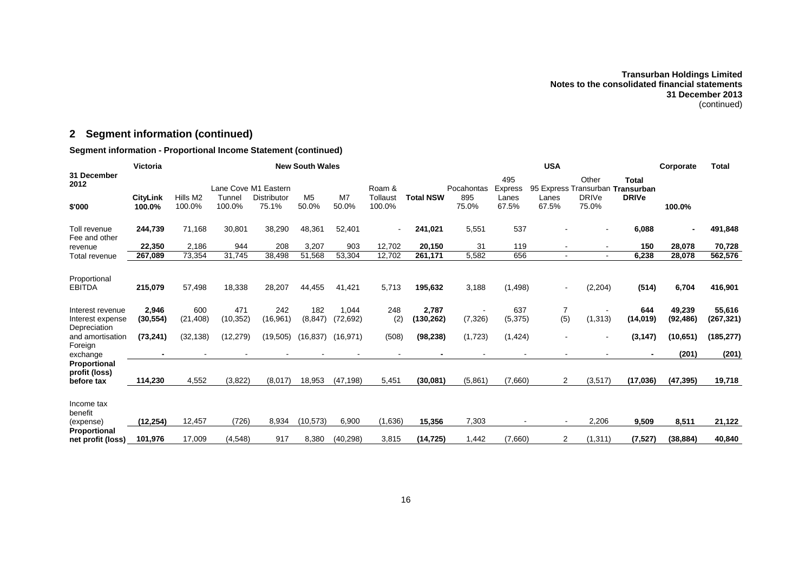## **2 Segment information (continued)**

## **Segment information - Proportional Income Statement (continued)**

|                                             | Victoria                  | <b>New South Wales</b> |                  |                             |                         |                         | <b>USA</b>         |                    |              |                       |                | Corporate             | <b>Total</b>                                     |                     |                      |
|---------------------------------------------|---------------------------|------------------------|------------------|-----------------------------|-------------------------|-------------------------|--------------------|--------------------|--------------|-----------------------|----------------|-----------------------|--------------------------------------------------|---------------------|----------------------|
| 31 December<br>2012                         |                           |                        |                  | Lane Cove M1 Eastern        |                         |                         | Roam &             |                    | Pocahontas   | 495<br><b>Express</b> |                | Other                 | <b>Total</b><br>95 Express Transurban Transurban |                     |                      |
| \$'000                                      | <b>CityLink</b><br>100.0% | Hills M2<br>100.0%     | Tunnel<br>100.0% | <b>Distributor</b><br>75.1% | M <sub>5</sub><br>50.0% | M <sub>7</sub><br>50.0% | Tollaust<br>100.0% | <b>Total NSW</b>   | 895<br>75.0% | Lanes<br>67.5%        | Lanes<br>67.5% | <b>DRIVe</b><br>75.0% | <b>DRIVe</b>                                     | 100.0%              |                      |
| Toll revenue<br>Fee and other               | 244,739                   | 71,168                 | 30,801           | 38,290                      | 48,361                  | 52.401                  | $\blacksquare$     | 241,021            | 5,551        | 537                   |                |                       | 6,088                                            |                     | 491,848              |
| revenue                                     | 22,350                    | 2,186                  | 944              | 208                         | 3,207                   | 903                     | 12,702             | 20,150             | 31           | 119                   |                |                       | 150                                              | 28,078              | 70,728               |
| Total revenue                               | 267,089                   | 73,354                 | 31,745           | 38,498                      | 51,568                  | 53,304                  | 12,702             | 261,171            | 5,582        | 656                   |                |                       | 6,238                                            | 28,078              | 562,576              |
| Proportional<br><b>EBITDA</b>               | 215,079                   | 57,498                 | 18,338           | 28,207                      | 44,455                  | 41,421                  | 5,713              | 195,632            | 3,188        | (1, 498)              |                | (2,204)               | (514)                                            | 6,704               | 416,901              |
| Interest revenue<br>Interest expense        | 2,946<br>(30, 554)        | 600<br>(21, 408)       | 471<br>(10, 352) | 242<br>(16, 961)            | 182<br>(8, 847)         | 1,044<br>(72, 692)      | 248<br>(2)         | 2,787<br>(130,262) | (7, 326)     | 637<br>(5, 375)       | 7<br>(5)       | (1, 313)              | 644<br>(14, 019)                                 | 49,239<br>(92, 486) | 55,616<br>(267, 321) |
| Depreciation<br>and amortisation<br>Foreign | (73, 241)                 | (32, 138)              | (12, 279)        | (19, 505)                   | (16, 837)               | (16, 971)               | (508)              | (98, 238)          | (1,723)      | (1, 424)              |                |                       | (3, 147)                                         | (10, 651)           | (185, 277)           |
| exchange                                    |                           |                        |                  |                             |                         |                         |                    |                    |              |                       |                |                       |                                                  | (201)               | (201)                |
| Proportional<br>profit (loss)<br>before tax | 114,230                   | 4,552                  | (3,822)          | (8,017)                     | 18,953                  | (47, 198)               | 5,451              | (30,081)           | (5,861)      | (7,660)               | 2              | (3, 517)              | (17, 036)                                        | (47, 395)           | 19,718               |
| Income tax<br>benefit<br>(expense)          | (12, 254)                 | 12,457                 | (726)            | 8,934                       | (10, 573)               | 6,900                   | (1,636)            | 15,356             | 7,303        |                       |                | 2,206                 | 9,509                                            | 8,511               | 21,122               |
| Proportional<br>net profit (loss)           | 101,976                   | 17,009                 | (4, 548)         | 917                         | 8,380                   | (40, 298)               | 3,815              | (14, 725)          | 1,442        | (7,660)               | 2              | (1,311)               | (7, 527)                                         | (38, 884)           | 40,840               |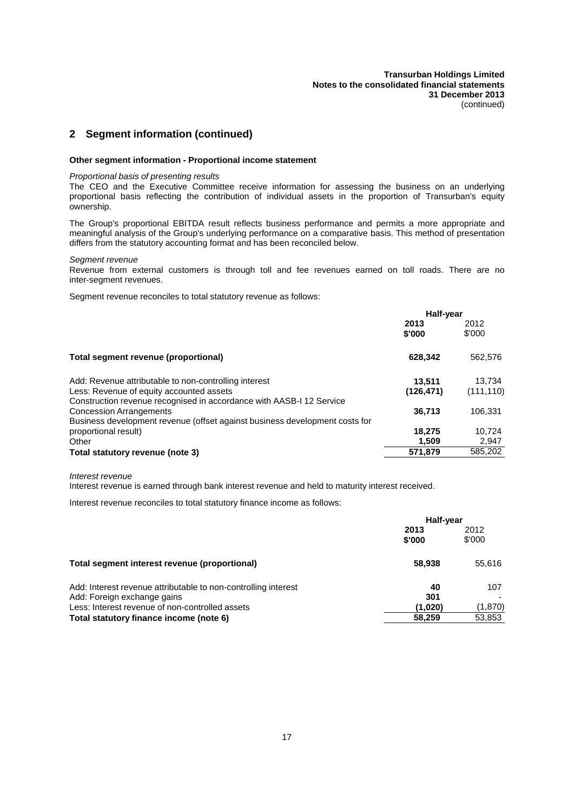## **2 Segment information (continued)**

#### **Other segment information - Proportional income statement**

#### *Proportional basis of presenting results*

The CEO and the Executive Committee receive information for assessing the business on an underlying proportional basis reflecting the contribution of individual assets in the proportion of Transurban's equity ownership.

The Group's proportional EBITDA result reflects business performance and permits a more appropriate and meaningful analysis of the Group's underlying performance on a comparative basis. This method of presentation differs from the statutory accounting format and has been reconciled below.

#### *Segment revenue*

Revenue from external customers is through toll and fee revenues earned on toll roads. There are no inter-segment revenues.

Segment revenue reconciles to total statutory revenue as follows:

| 2012<br>\$'000       |
|----------------------|
| 562,576              |
| 13.734<br>(111, 110) |
| 106,331              |
| 10,724               |
| 2,947<br>585,202     |
|                      |

*Interest revenue*

Interest revenue is earned through bank interest revenue and held to maturity interest received.

Interest revenue reconciles to total statutory finance income as follows:

|                                                                                                                                                                                             | Half-year                      |                          |  |
|---------------------------------------------------------------------------------------------------------------------------------------------------------------------------------------------|--------------------------------|--------------------------|--|
|                                                                                                                                                                                             | 2013<br>\$'000                 | 2012<br>\$'000           |  |
| Total segment interest revenue (proportional)                                                                                                                                               | 58,938                         | 55.616                   |  |
| Add: Interest revenue attributable to non-controlling interest<br>Add: Foreign exchange gains<br>Less: Interest revenue of non-controlled assets<br>Total statutory finance income (note 6) | 40<br>301<br>(1,020)<br>58,259 | 107<br>(1,870)<br>53,853 |  |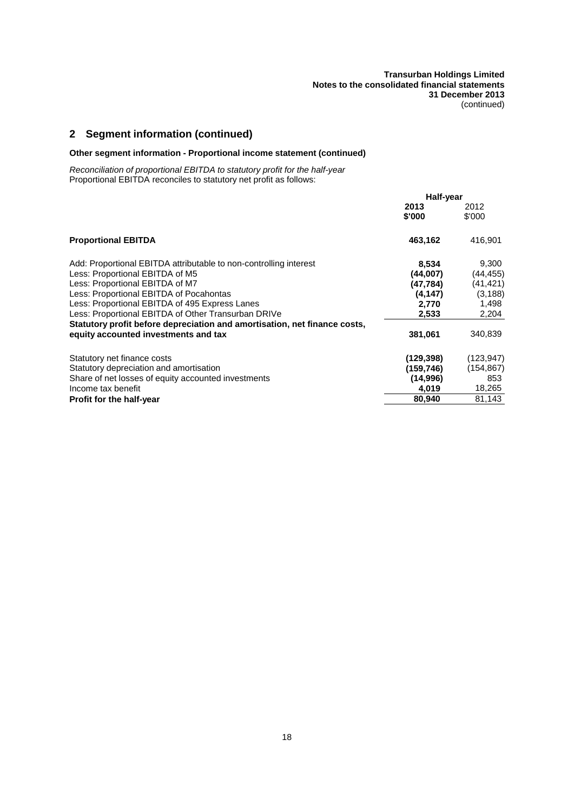## **2 Segment information (continued)**

## **Other segment information - Proportional income statement (continued)**

*Reconciliation of proportional EBITDA to statutory profit for the half-year* Proportional EBITDA reconciles to statutory net profit as follows:

|                                                                           | Half-year  |            |  |
|---------------------------------------------------------------------------|------------|------------|--|
|                                                                           | 2013       | 2012       |  |
|                                                                           | \$'000     | \$'000     |  |
| <b>Proportional EBITDA</b>                                                | 463,162    | 416,901    |  |
| Add: Proportional EBITDA attributable to non-controlling interest         | 8,534      | 9,300      |  |
| Less: Proportional EBITDA of M5                                           | (44,007)   | (44,455)   |  |
| Less: Proportional EBITDA of M7                                           | (47, 784)  | (41,421)   |  |
| Less: Proportional EBITDA of Pocahontas                                   | (4, 147)   | (3, 188)   |  |
| Less: Proportional EBITDA of 495 Express Lanes                            | 2,770      | 1,498      |  |
| Less: Proportional EBITDA of Other Transurban DRIVe                       | 2,533      | 2,204      |  |
| Statutory profit before depreciation and amortisation, net finance costs, |            |            |  |
| equity accounted investments and tax                                      | 381,061    | 340,839    |  |
| Statutory net finance costs                                               | (129, 398) | (123, 947) |  |
| Statutory depreciation and amortisation                                   | (159,746)  | (154, 867) |  |
| Share of net losses of equity accounted investments                       | (14,996)   | 853        |  |
| Income tax benefit                                                        | 4,019      | 18,265     |  |
| <b>Profit for the half-year</b>                                           | 80,940     | 81,143     |  |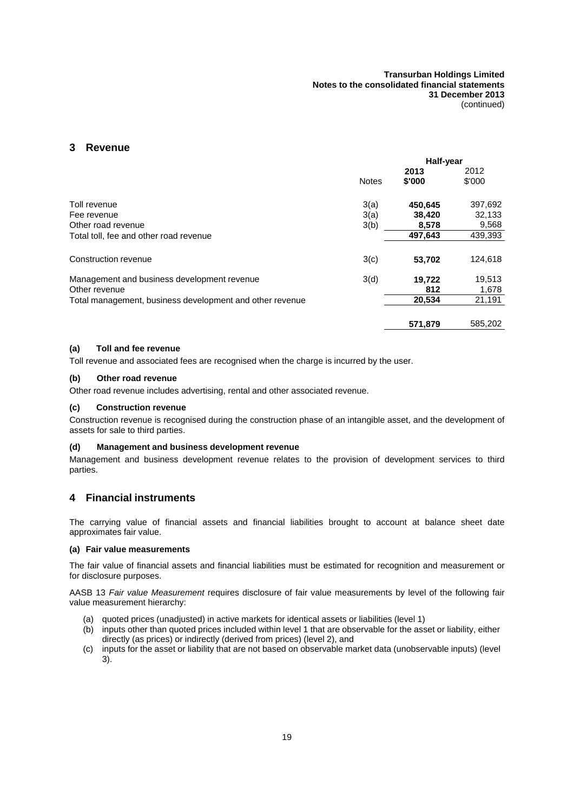## <span id="page-23-0"></span>**3 Revenue**

|                                                          |              | Half-year |         |
|----------------------------------------------------------|--------------|-----------|---------|
|                                                          |              | 2013      | 2012    |
|                                                          | <b>Notes</b> | \$'000    | \$'000  |
| Toll revenue                                             | 3(a)         | 450,645   | 397,692 |
| Fee revenue                                              | 3(a)         | 38,420    | 32,133  |
| Other road revenue                                       | 3(b)         | 8,578     | 9,568   |
| Total toll, fee and other road revenue                   |              | 497.643   | 439,393 |
| Construction revenue                                     | 3(c)         | 53,702    | 124,618 |
| Management and business development revenue              | 3(d)         | 19.722    | 19,513  |
| Other revenue                                            |              | 812       | 1,678   |
| Total management, business development and other revenue |              | 20.534    | 21,191  |
|                                                          |              | 571,879   | 585.202 |

### <span id="page-23-2"></span>**(a) Toll and fee revenue**

<span id="page-23-3"></span>Toll revenue and associated fees are recognised when the charge is incurred by the user.

#### **(b) Other road revenue**

<span id="page-23-4"></span>Other road revenue includes advertising, rental and other associated revenue.

#### **(c) Construction revenue**

<span id="page-23-5"></span>Construction revenue is recognised during the construction phase of an intangible asset, and the development of assets for sale to third parties.

## **(d) Management and business development revenue**

<span id="page-23-1"></span>Management and business development revenue relates to the provision of development services to third parties.

## **4 Financial instruments**

The carrying value of financial assets and financial liabilities brought to account at balance sheet date approximates fair value.

#### **(a) Fair value measurements**

The fair value of financial assets and financial liabilities must be estimated for recognition and measurement or for disclosure purposes.

AASB 13 *Fair value Measurement* requires disclosure of fair value measurements by level of the following fair value measurement hierarchy:

- (a) quoted prices (unadjusted) in active markets for identical assets or liabilities (level 1)
- (b) inputs other than quoted prices included within level 1 that are observable for the asset or liability, either directly (as prices) or indirectly (derived from prices) (level 2), and
- (c) inputs for the asset or liability that are not based on observable market data (unobservable inputs) (level 3).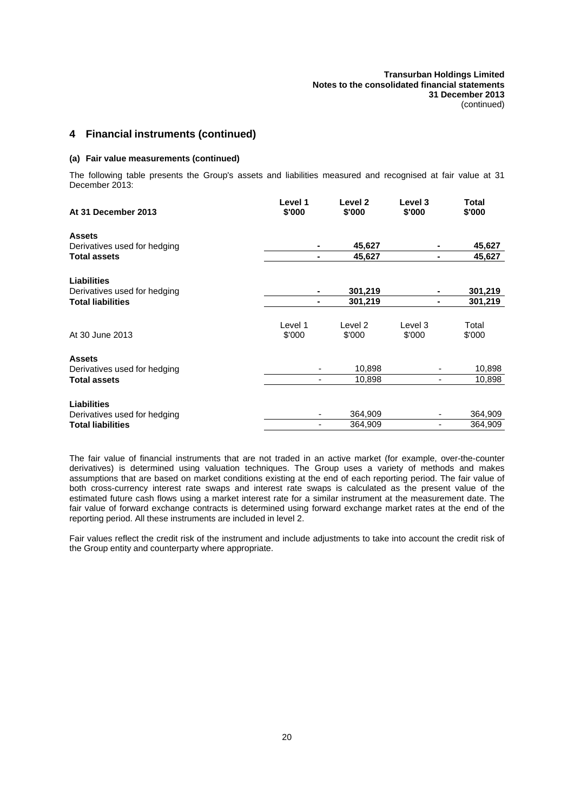## **4 Financial instruments (continued)**

#### **(a) Fair value measurements (continued)**

The following table presents the Group's assets and liabilities measured and recognised at fair value at 31 December 2013:

| At 31 December 2013                                 | Level 1<br>\$'000 | Level 2<br>\$'000  | Level 3<br>\$'000                | Total<br>\$'000  |
|-----------------------------------------------------|-------------------|--------------------|----------------------------------|------------------|
| <b>Assets</b>                                       |                   |                    |                                  |                  |
| Derivatives used for hedging<br><b>Total assets</b> |                   | 45,627<br>45,627   | $\blacksquare$<br>$\blacksquare$ | 45,627<br>45,627 |
|                                                     |                   |                    |                                  |                  |
| <b>Liabilities</b>                                  |                   |                    |                                  |                  |
| Derivatives used for hedging                        |                   | 301,219            |                                  | 301,219          |
| <b>Total liabilities</b>                            |                   | 301,219            | $\blacksquare$                   | 301,219          |
|                                                     |                   |                    |                                  |                  |
|                                                     | Level 1           | Level <sub>2</sub> | Level 3                          | Total            |
| At 30 June 2013                                     | \$'000            | \$'000             | \$'000                           | \$'000           |
| <b>Assets</b>                                       |                   |                    |                                  |                  |
| Derivatives used for hedging                        |                   | 10,898             |                                  | 10,898           |
| <b>Total assets</b>                                 |                   | 10,898             | $\overline{\phantom{a}}$         | 10,898           |
| <b>Liabilities</b>                                  |                   |                    |                                  |                  |
| Derivatives used for hedging                        |                   | 364,909            |                                  | 364,909          |
| <b>Total liabilities</b>                            |                   | 364,909            |                                  | 364.909          |

The fair value of financial instruments that are not traded in an active market (for example, over-the-counter derivatives) is determined using valuation techniques. The Group uses a variety of methods and makes assumptions that are based on market conditions existing at the end of each reporting period. The fair value of both cross-currency interest rate swaps and interest rate swaps is calculated as the present value of the estimated future cash flows using a market interest rate for a similar instrument at the measurement date. The fair value of forward exchange contracts is determined using forward exchange market rates at the end of the reporting period. All these instruments are included in level 2.

Fair values reflect the credit risk of the instrument and include adjustments to take into account the credit risk of the Group entity and counterparty where appropriate.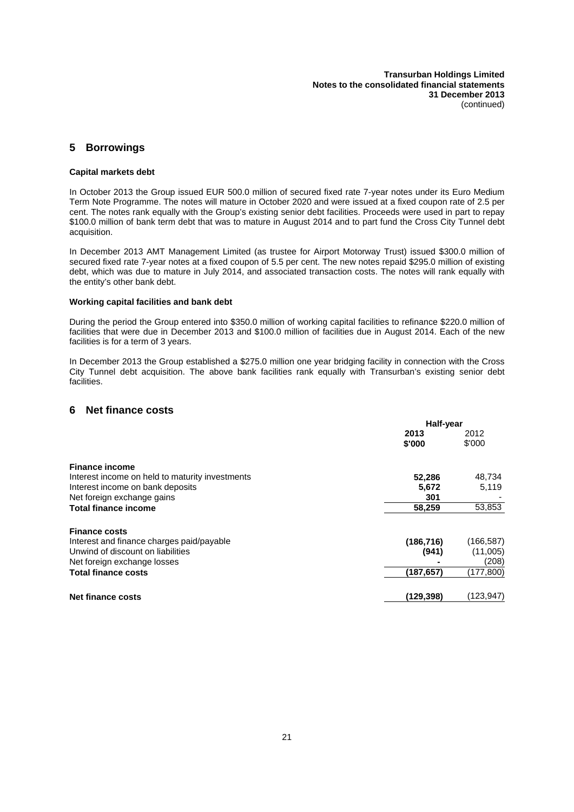## **5 Borrowings**

#### **Capital markets debt**

In October 2013 the Group issued EUR 500.0 million of secured fixed rate 7-year notes under its Euro Medium Term Note Programme. The notes will mature in October 2020 and were issued at a fixed coupon rate of 2.5 per cent. The notes rank equally with the Group's existing senior debt facilities. Proceeds were used in part to repay \$100.0 million of bank term debt that was to mature in August 2014 and to part fund the Cross City Tunnel debt acquisition.

In December 2013 AMT Management Limited (as trustee for Airport Motorway Trust) issued \$300.0 million of secured fixed rate 7-year notes at a fixed coupon of 5.5 per cent. The new notes repaid \$295.0 million of existing debt, which was due to mature in July 2014, and associated transaction costs. The notes will rank equally with the entity's other bank debt.

#### **Working capital facilities and bank debt**

During the period the Group entered into \$350.0 million of working capital facilities to refinance \$220.0 million of facilities that were due in December 2013 and \$100.0 million of facilities due in August 2014. Each of the new facilities is for a term of 3 years.

<span id="page-25-0"></span>In December 2013 the Group established a \$275.0 million one year bridging facility in connection with the Cross City Tunnel debt acquisition. The above bank facilities rank equally with Transurban's existing senior debt facilities.

## **6 Net finance costs**

|                                                 | Half-year      |                |
|-------------------------------------------------|----------------|----------------|
|                                                 | 2013<br>\$'000 | 2012<br>\$'000 |
|                                                 |                |                |
| <b>Finance income</b>                           |                |                |
| Interest income on held to maturity investments | 52,286         | 48,734         |
| Interest income on bank deposits                | 5.672          | 5,119          |
| Net foreign exchange gains                      | 301            |                |
| <b>Total finance income</b>                     | 58,259         | 53,853         |
| <b>Finance costs</b>                            |                |                |
| Interest and finance charges paid/payable       | (186, 716)     | (166, 587)     |
| Unwind of discount on liabilities               | (941)          | (11,005)       |
| Net foreign exchange losses                     |                | (208)          |
| <b>Total finance costs</b>                      | (187, 657)     | (177,800)      |
| <b>Net finance costs</b>                        | (129.398)      | (123,947)      |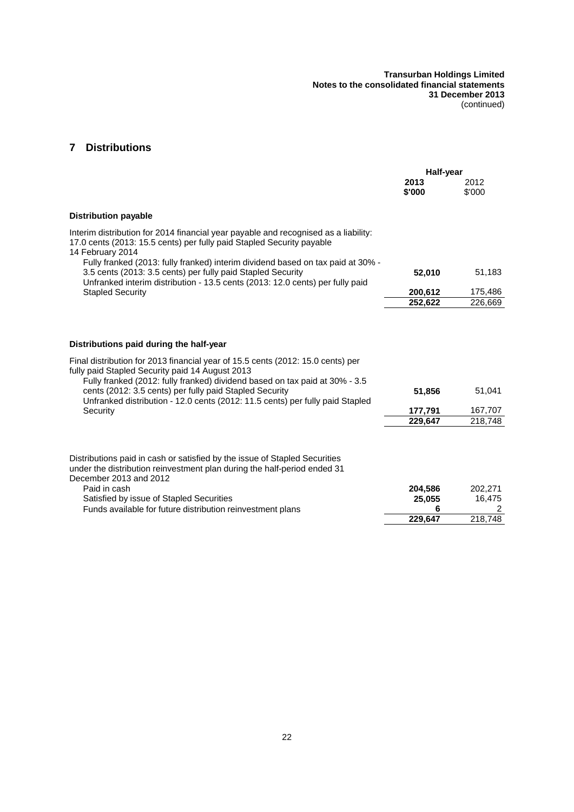## **7 Distributions**

|                                                                                                                                                                                                                                                                                                                                                                                                                      | Half-year                         |                                   |
|----------------------------------------------------------------------------------------------------------------------------------------------------------------------------------------------------------------------------------------------------------------------------------------------------------------------------------------------------------------------------------------------------------------------|-----------------------------------|-----------------------------------|
|                                                                                                                                                                                                                                                                                                                                                                                                                      | 2013<br>\$'000                    | 2012<br>\$'000                    |
| <b>Distribution payable</b>                                                                                                                                                                                                                                                                                                                                                                                          |                                   |                                   |
| Interim distribution for 2014 financial year payable and recognised as a liability:<br>17.0 cents (2013: 15.5 cents) per fully paid Stapled Security payable<br>14 February 2014                                                                                                                                                                                                                                     |                                   |                                   |
| Fully franked (2013: fully franked) interim dividend based on tax paid at 30% -<br>3.5 cents (2013: 3.5 cents) per fully paid Stapled Security<br>Unfranked interim distribution - 13.5 cents (2013: 12.0 cents) per fully paid                                                                                                                                                                                      | 52,010                            | 51,183                            |
| <b>Stapled Security</b>                                                                                                                                                                                                                                                                                                                                                                                              | 200,612                           | 175,486                           |
|                                                                                                                                                                                                                                                                                                                                                                                                                      | 252,622                           | 226,669                           |
| Distributions paid during the half-year<br>Final distribution for 2013 financial year of 15.5 cents (2012: 15.0 cents) per<br>fully paid Stapled Security paid 14 August 2013<br>Fully franked (2012: fully franked) dividend based on tax paid at 30% - 3.5<br>cents (2012: 3.5 cents) per fully paid Stapled Security<br>Unfranked distribution - 12.0 cents (2012: 11.5 cents) per fully paid Stapled<br>Security | 51,856<br>177,791<br>229,647      | 51,041<br>167,707<br>218,748      |
| Distributions paid in cash or satisfied by the issue of Stapled Securities<br>under the distribution reinvestment plan during the half-period ended 31<br>December 2013 and 2012<br>Paid in cash<br>Satisfied by issue of Stapled Securities<br>Funds available for future distribution reinvestment plans                                                                                                           | 204,586<br>25,055<br>6<br>229,647 | 202,271<br>16,475<br>2<br>218,748 |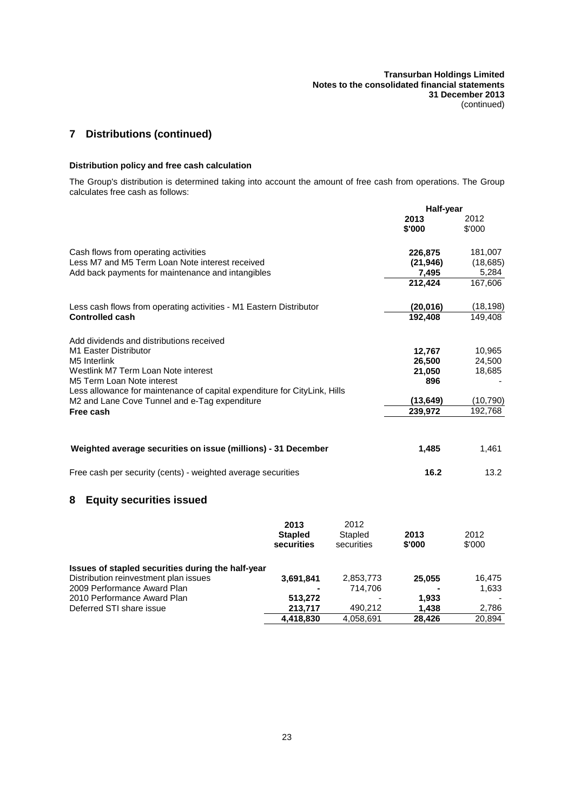## **7 Distributions (continued)**

## **Distribution policy and free cash calculation**

The Group's distribution is determined taking into account the amount of free cash from operations. The Group calculates free cash as follows:

|                                                                                         |                                      |                               | Half-year            |                      |
|-----------------------------------------------------------------------------------------|--------------------------------------|-------------------------------|----------------------|----------------------|
|                                                                                         |                                      |                               | 2013<br>\$'000       | 2012<br>\$'000       |
| Cash flows from operating activities<br>Less M7 and M5 Term Loan Note interest received |                                      |                               | 226,875<br>(21, 946) | 181,007<br>(18, 685) |
| Add back payments for maintenance and intangibles                                       |                                      |                               | 7,495<br>212,424     | 5,284<br>167,606     |
|                                                                                         |                                      |                               |                      |                      |
| Less cash flows from operating activities - M1 Eastern Distributor                      |                                      |                               | (20, 016)            | (18, 198)            |
| <b>Controlled cash</b>                                                                  |                                      |                               | 192,408              | 149,408              |
| Add dividends and distributions received                                                |                                      |                               |                      |                      |
| M1 Easter Distributor                                                                   |                                      |                               | 12,767               | 10,965               |
| M5 Interlink                                                                            |                                      |                               | 26,500               | 24,500               |
| Westlink M7 Term Loan Note interest                                                     |                                      |                               | 21,050               | 18,685               |
| M5 Term Loan Note interest                                                              |                                      |                               | 896                  |                      |
| Less allowance for maintenance of capital expenditure for CityLink, Hills               |                                      |                               |                      |                      |
| M2 and Lane Cove Tunnel and e-Tag expenditure                                           |                                      |                               | (13, 649)            | (10, 790)            |
| Free cash                                                                               |                                      |                               | 239,972              | 192,768              |
|                                                                                         |                                      |                               |                      |                      |
| Weighted average securities on issue (millions) - 31 December                           |                                      |                               | 1,485                | 1,461                |
| Free cash per security (cents) - weighted average securities                            |                                      |                               | 16.2                 | 13.2                 |
| <b>Equity securities issued</b><br>8                                                    |                                      |                               |                      |                      |
|                                                                                         | 2013<br><b>Stapled</b><br>securities | 2012<br>Stapled<br>securities | 2013<br>\$'000       | 2012<br>\$'000       |
| Issues of stapled securities during the half-year                                       |                                      |                               |                      |                      |
| Distribution reinvestment plan issues<br>2009 Performance Award Plan                    | 3,691,841                            | 2,853,773<br>714,706          | 25,055               | 16,475<br>1,633      |
| 2010 Performance Award Plan                                                             | 513,272                              |                               | 1,933                |                      |
| Deferred STI share issue                                                                | 213,717                              | 490,212                       | 1,438                | 2,786                |
|                                                                                         | 4,418,830                            | 4,058,691                     | 28,426               | 20,894               |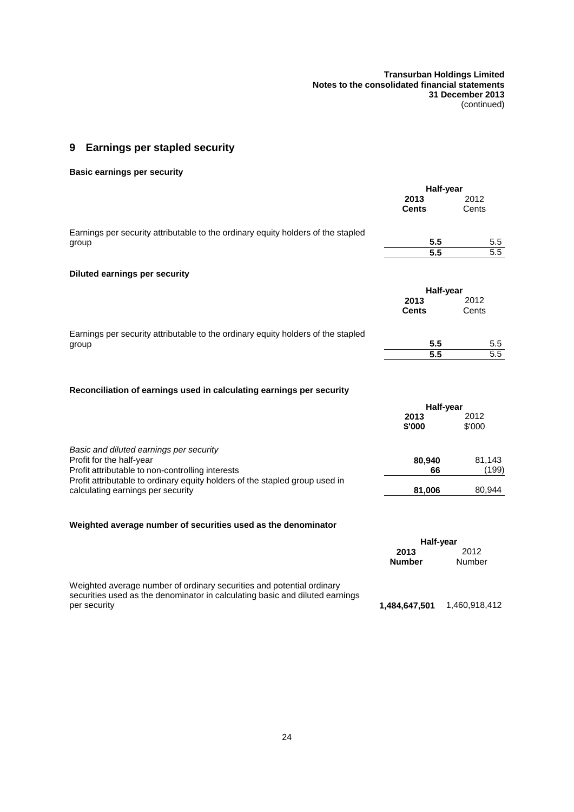## <span id="page-28-0"></span>**9 Earnings per stapled security**

## **Basic earnings per security**

|                                                                                                                  | Half-year    |                  |
|------------------------------------------------------------------------------------------------------------------|--------------|------------------|
|                                                                                                                  | 2013         | 2012             |
|                                                                                                                  | <b>Cents</b> | Cents            |
| Earnings per security attributable to the ordinary equity holders of the stapled                                 |              |                  |
| group                                                                                                            | 5.5          | 5.5              |
|                                                                                                                  | 5.5          | $\overline{5.5}$ |
| <b>Diluted earnings per security</b>                                                                             |              |                  |
|                                                                                                                  | Half-year    |                  |
|                                                                                                                  | 2013         | 2012             |
|                                                                                                                  | <b>Cents</b> | Cents            |
| Earnings per security attributable to the ordinary equity holders of the stapled                                 |              |                  |
| group                                                                                                            | 5.5          | 5.5              |
|                                                                                                                  | 5.5          | $\overline{5.5}$ |
| Reconciliation of earnings used in calculating earnings per security                                             |              |                  |
|                                                                                                                  | Half-year    |                  |
|                                                                                                                  | 2013         | 2012             |
|                                                                                                                  | \$'000       | \$'000           |
| Basic and diluted earnings per security                                                                          |              |                  |
| Profit for the half-year                                                                                         | 80,940       | 81,143           |
| Profit attributable to non-controlling interests                                                                 | 66           | (199)            |
| Profit attributable to ordinary equity holders of the stapled group used in<br>calculating earnings per security | 81,006       | 80,944           |
|                                                                                                                  |              |                  |

## **Weighted average number of securities used as the denominator**

|                                                                                                                                                       | Half-vear             |                |  |
|-------------------------------------------------------------------------------------------------------------------------------------------------------|-----------------------|----------------|--|
|                                                                                                                                                       | 2013<br><b>Number</b> | 2012<br>Number |  |
| Weighted average number of ordinary securities and potential ordinary<br>securities used as the denominator in calculating basic and diluted earnings |                       |                |  |
| per security                                                                                                                                          | 1,484,647,501         | 1,460,918,412  |  |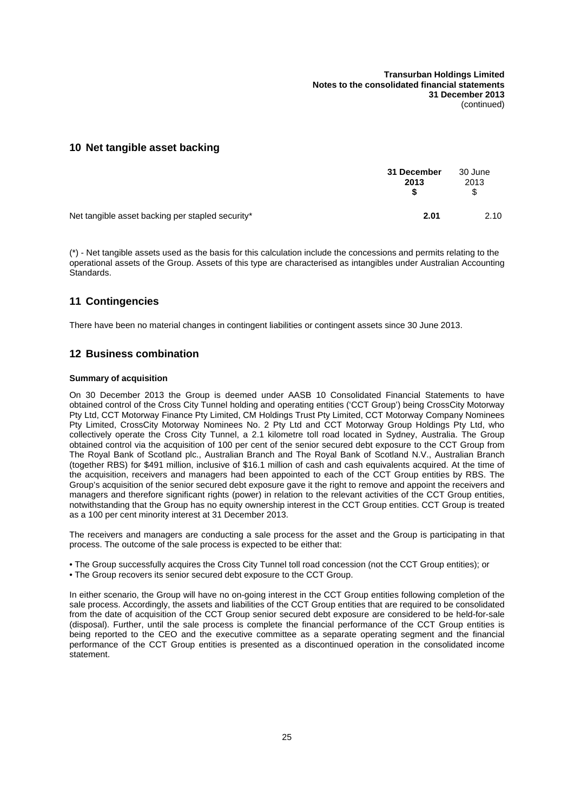## **10 Net tangible asset backing**

| 31 December<br>2013                              |      | 30 June<br>2013<br>\$ |
|--------------------------------------------------|------|-----------------------|
| Net tangible asset backing per stapled security* | 2.01 | 2.10                  |

(\*) - Net tangible assets used as the basis for this calculation include the concessions and permits relating to the operational assets of the Group. Assets of this type are characterised as intangibles under Australian Accounting Standards.

## **11 Contingencies**

<span id="page-29-0"></span>There have been no material changes in contingent liabilities or contingent assets since 30 June 2013.

## **12 Business combination**

### **Summary of acquisition**

On 30 December 2013 the Group is deemed under AASB 10 Consolidated Financial Statements to have obtained control of the Cross City Tunnel holding and operating entities ('CCT Group') being CrossCity Motorway Pty Ltd, CCT Motorway Finance Pty Limited, CM Holdings Trust Pty Limited, CCT Motorway Company Nominees Pty Limited, CrossCity Motorway Nominees No. 2 Pty Ltd and CCT Motorway Group Holdings Pty Ltd, who collectively operate the Cross City Tunnel, a 2.1 kilometre toll road located in Sydney, Australia. The Group obtained control via the acquisition of 100 per cent of the senior secured debt exposure to the CCT Group from The Royal Bank of Scotland plc., Australian Branch and The Royal Bank of Scotland N.V., Australian Branch (together RBS) for \$491 million, inclusive of \$16.1 million of cash and cash equivalents acquired. At the time of the acquisition, receivers and managers had been appointed to each of the CCT Group entities by RBS. The Group's acquisition of the senior secured debt exposure gave it the right to remove and appoint the receivers and managers and therefore significant rights (power) in relation to the relevant activities of the CCT Group entities, notwithstanding that the Group has no equity ownership interest in the CCT Group entities. CCT Group is treated as a 100 per cent minority interest at 31 December 2013.

The receivers and managers are conducting a sale process for the asset and the Group is participating in that process. The outcome of the sale process is expected to be either that:

- The Group successfully acquires the Cross City Tunnel toll road concession (not the CCT Group entities); or
- The Group recovers its senior secured debt exposure to the CCT Group.

In either scenario, the Group will have no on-going interest in the CCT Group entities following completion of the sale process. Accordingly, the assets and liabilities of the CCT Group entities that are required to be consolidated from the date of acquisition of the CCT Group senior secured debt exposure are considered to be held-for-sale (disposal). Further, until the sale process is complete the financial performance of the CCT Group entities is being reported to the CEO and the executive committee as a separate operating segment and the financial performance of the CCT Group entities is presented as a discontinued operation in the consolidated income statement.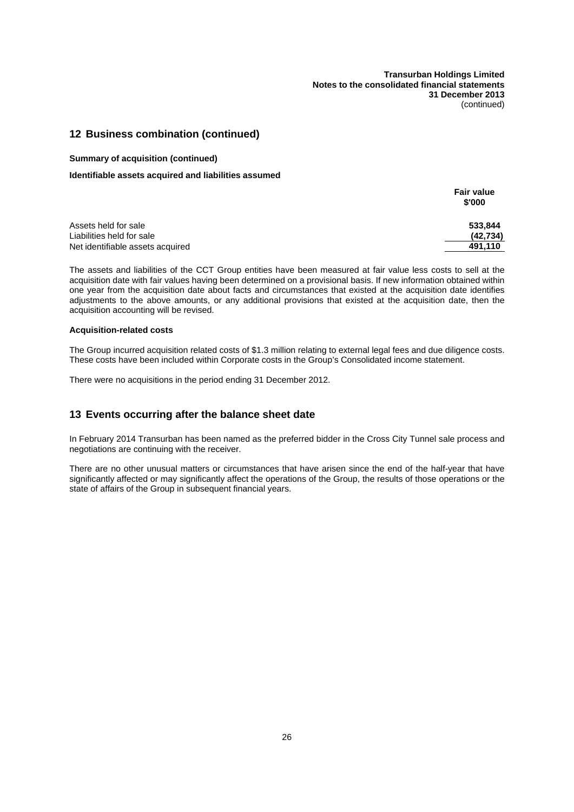## **12 Business combination (continued)**

#### **Summary of acquisition (continued)**

### **Identifiable assets acquired and liabilities assumed**

|                                  | <b>Fair value</b><br>\$'000 |
|----------------------------------|-----------------------------|
| Assets held for sale             | 533.844                     |
| Liabilities held for sale        | (42, 734)                   |
| Net identifiable assets acquired | 491.110                     |

The assets and liabilities of the CCT Group entities have been measured at fair value less costs to sell at the acquisition date with fair values having been determined on a provisional basis. If new information obtained within one year from the acquisition date about facts and circumstances that existed at the acquisition date identifies adjustments to the above amounts, or any additional provisions that existed at the acquisition date, then the acquisition accounting will be revised.

#### **Acquisition-related costs**

The Group incurred acquisition related costs of \$1.3 million relating to external legal fees and due diligence costs. These costs have been included within Corporate costs in the Group's Consolidated income statement.

There were no acquisitions in the period ending 31 December 2012.

## **13 Events occurring after the balance sheet date**

In February 2014 Transurban has been named as the preferred bidder in the Cross City Tunnel sale process and negotiations are continuing with the receiver.

There are no other unusual matters or circumstances that have arisen since the end of the half-year that have significantly affected or may significantly affect the operations of the Group, the results of those operations or the state of affairs of the Group in subsequent financial years.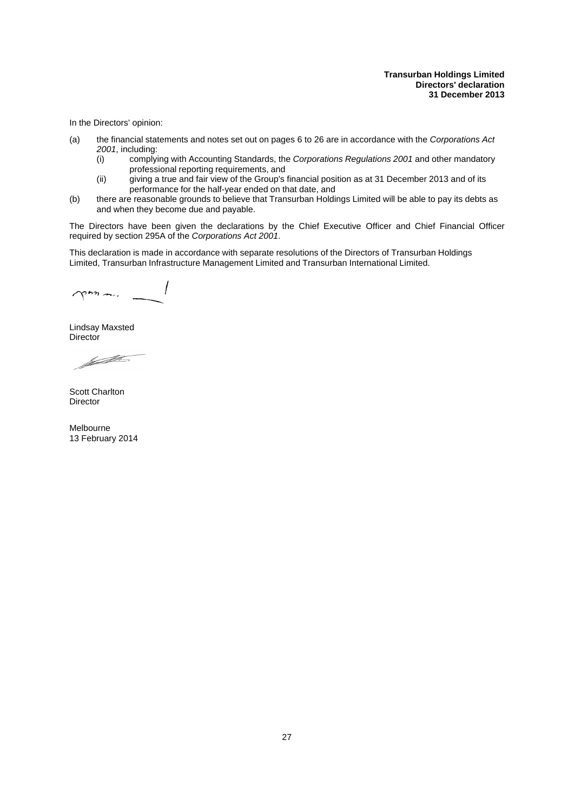<span id="page-31-0"></span>In the Directors' opinion:

- (a) the financial statements and notes set out on pages [6](#page-10-0) to [26](#page-16-0) are in accordance with the *Corporations Act 2001*, including:
	- (i) complying with Accounting Standards, the *Corporations Regulations 2001* and other mandatory professional reporting requirements, and
	- (ii) giving a true and fair view of the Group's financial position as at 31 December 2013 and of its performance for the half-year ended on that date, and
- (b) there are reasonable grounds to believe that Transurban Holdings Limited will be able to pay its debts as and when they become due and payable.

The Directors have been given the declarations by the Chief Executive Officer and Chief Financial Officer required by section 295A of the *Corporations Act 2001*.

This declaration is made in accordance with separate resolutions of the Directors of Transurban Holdings Limited, Transurban Infrastructure Management Limited and Transurban International Limited.

pour m.

Lindsay Maxsted **Director** 

factor of the Sea

Scott Charlton Director

Melbourne 13 February 2014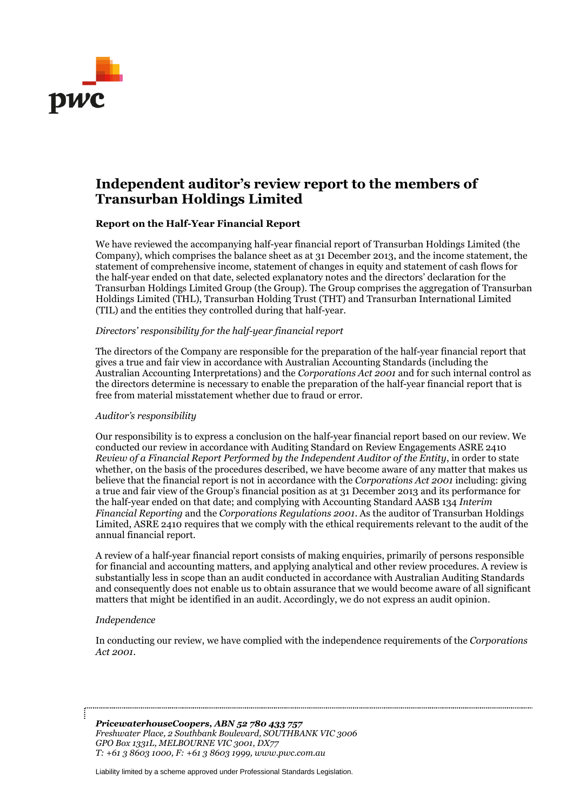

## **Independent auditor's review report to the members of Transurban Holdings Limited**

## **Report on the Half-Year Financial Report**

We have reviewed the accompanying half-year financial report of Transurban Holdings Limited (the Company), which comprises the balance sheet as at 31 December 2013, and the income statement, the statement of comprehensive income, statement of changes in equity and statement of cash flows for the half-year ended on that date, selected explanatory notes and the directors' declaration for the Transurban Holdings Limited Group (the Group). The Group comprises the aggregation of Transurban Holdings Limited (THL), Transurban Holding Trust (THT) and Transurban International Limited (TIL) and the entities they controlled during that half-year.

## *Directors' responsibility for the half-year financial report*

The directors of the Company are responsible for the preparation of the half-year financial report that gives a true and fair view in accordance with Australian Accounting Standards (including the Australian Accounting Interpretations) and the *Corporations Act 2001* and for such internal control as the directors determine is necessary to enable the preparation of the half-year financial report that is free from material misstatement whether due to fraud or error.

## *Auditor's responsibility*

Our responsibility is to express a conclusion on the half-year financial report based on our review. We conducted our review in accordance with Auditing Standard on Review Engagements ASRE 2410 *Review of a Financial Report Performed by the Independent Auditor of the Entity*, in order to state whether, on the basis of the procedures described, we have become aware of any matter that makes us believe that the financial report is not in accordance with the *Corporations Act 2001* including: giving a true and fair view of the Group's financial position as at 31 December 2013 and its performance for the half-year ended on that date; and complying with Accounting Standard AASB 134 *Interim Financial Reporting* and the *Corporations Regulations 2001*. As the auditor of Transurban Holdings Limited, ASRE 2410 requires that we comply with the ethical requirements relevant to the audit of the annual financial report.

A review of a half-year financial report consists of making enquiries, primarily of persons responsible for financial and accounting matters, and applying analytical and other review procedures. A review is substantially less in scope than an audit conducted in accordance with Australian Auditing Standards and consequently does not enable us to obtain assurance that we would become aware of all significant matters that might be identified in an audit. Accordingly, we do not express an audit opinion.

## *Independence*

In conducting our review, we have complied with the independence requirements of the *Corporations Act 2001.*

*PricewaterhouseCoopers, ABN 52 780 433 757 Freshwater Place, 2 Southbank Boulevard, SOUTHBANK VIC 3006 GPO Box 1331L, MELBOURNE VIC 3001, DX77 T: +61 3 8603 1000, F: +61 3 8603 1999, www.pwc.com.au*

Liability limited by a scheme approved under Professional Standards Legislation.